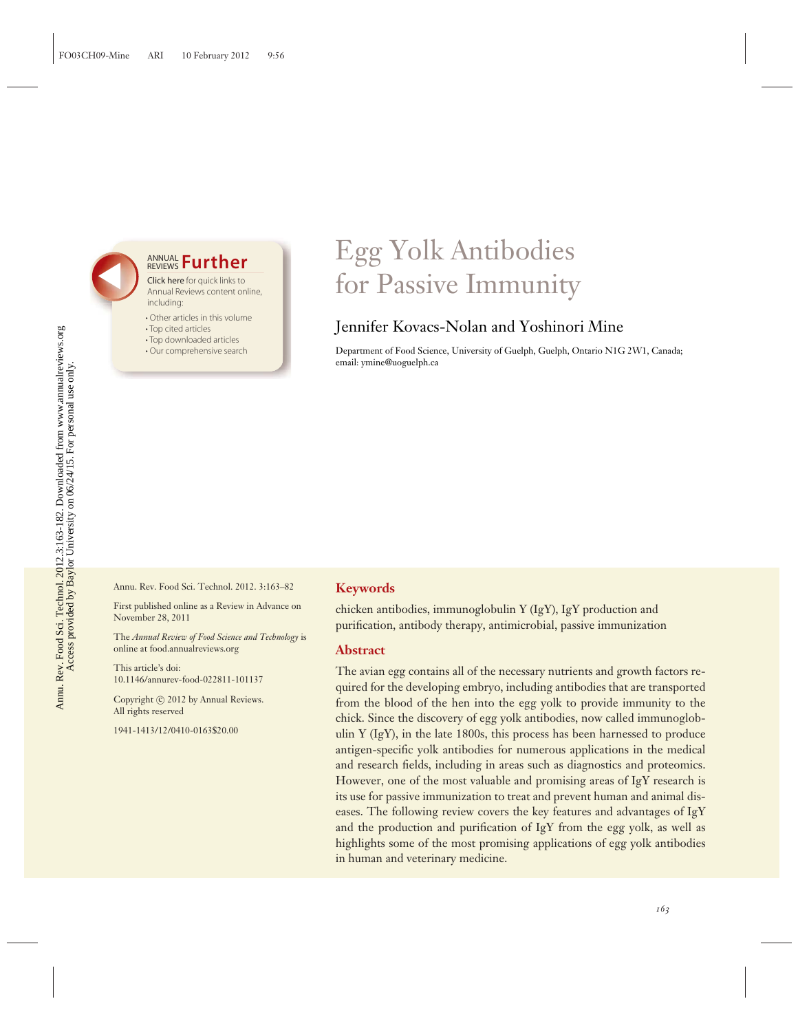### **ANNUAL Further**

Click here for quick links to Annual Reviews content online, including:

- Other articles in this volume
- Top cited articles
- Top downloaded articles
- Our comprehensive search

### Egg Yolk Antibodies for Passive Immunity

### Jennifer Kovacs-Nolan and Yoshinori Mine

Department of Food Science, University of Guelph, Guelph, Ontario N1G 2W1, Canada; email: ymine@uoguelph.ca

Annu. Rev. Food Sci. Technol. 2012. 3:163–82

First published online as a Review in Advance on November 28, 2011

The *Annual Review of Food Science and Technology* is online at food.annualreviews.org

This article's doi: 10.1146/annurev-food-022811-101137

Copyright © 2012 by Annual Reviews. All rights reserved

1941-1413/12/0410-0163\$20.00

#### **Keywords**

chicken antibodies, immunoglobulin Y (IgY), IgY production and purification, antibody therapy, antimicrobial, passive immunization

#### **Abstract**

The avian egg contains all of the necessary nutrients and growth factors required for the developing embryo, including antibodies that are transported from the blood of the hen into the egg yolk to provide immunity to the chick. Since the discovery of egg yolk antibodies, now called immunoglobulin Y (IgY), in the late 1800s, this process has been harnessed to produce antigen-specific yolk antibodies for numerous applications in the medical and research fields, including in areas such as diagnostics and proteomics. However, one of the most valuable and promising areas of IgY research is its use for passive immunization to treat and prevent human and animal diseases. The following review covers the key features and advantages of IgY and the production and purification of IgY from the egg yolk, as well as highlights some of the most promising applications of egg yolk antibodies in human and veterinary medicine.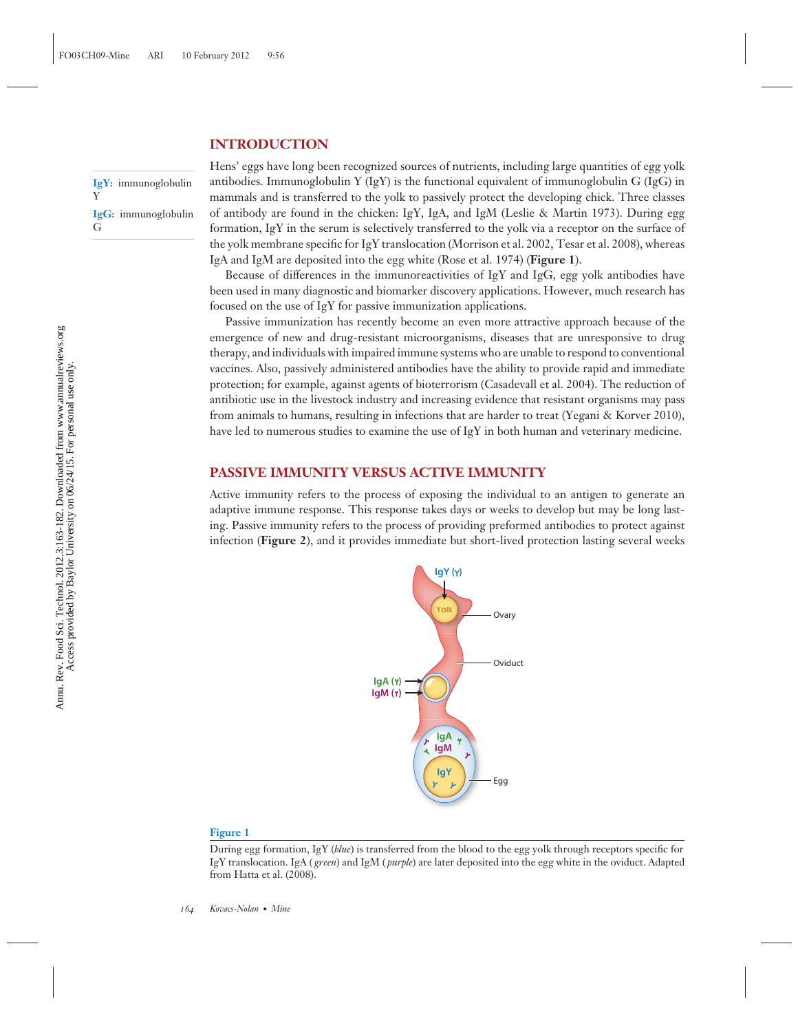#### **INTRODUCTION**

**IgY:** immunoglobulin Y **IgG:** immunoglobulin G

Hens' eggs have long been recognized sources of nutrients, including large quantities of egg yolk antibodies. Immunoglobulin Y (IgY) is the functional equivalent of immunoglobulin G (IgG) in mammals and is transferred to the yolk to passively protect the developing chick. Three classes of antibody are found in the chicken: IgY, IgA, and IgM (Leslie & Martin 1973). During egg formation, IgY in the serum is selectively transferred to the yolk via a receptor on the surface of the yolk membrane specific for IgY translocation (Morrison et al. 2002, Tesar et al. 2008), whereas IgA and IgM are deposited into the egg white (Rose et al. 1974) (**Figure 1**).

Because of differences in the immunoreactivities of IgY and IgG, egg yolk antibodies have been used in many diagnostic and biomarker discovery applications. However, much research has focused on the use of IgY for passive immunization applications.

Passive immunization has recently become an even more attractive approach because of the emergence of new and drug-resistant microorganisms, diseases that are unresponsive to drug therapy, and individuals with impaired immune systems who are unable to respond to conventional vaccines. Also, passively administered antibodies have the ability to provide rapid and immediate protection; for example, against agents of bioterrorism (Casadevall et al. 2004). The reduction of antibiotic use in the livestock industry and increasing evidence that resistant organisms may pass from animals to humans, resulting in infections that are harder to treat (Yegani & Korver 2010), have led to numerous studies to examine the use of IgY in both human and veterinary medicine.

#### **PASSIVE IMMUNITY VERSUS ACTIVE IMMUNITY**

Active immunity refers to the process of exposing the individual to an antigen to generate an adaptive immune response. This response takes days or weeks to develop but may be long lasting. Passive immunity refers to the process of providing preformed antibodies to protect against infection (**Figure 2**), and it provides immediate but short-lived protection lasting several weeks



#### **Figure 1**

During egg formation, IgY (*blue*) is transferred from the blood to the egg yolk through receptors specific for IgY translocation. IgA ( *green*) and IgM ( *purple*) are later deposited into the egg white in the oviduct. Adapted from Hatta et al. (2008).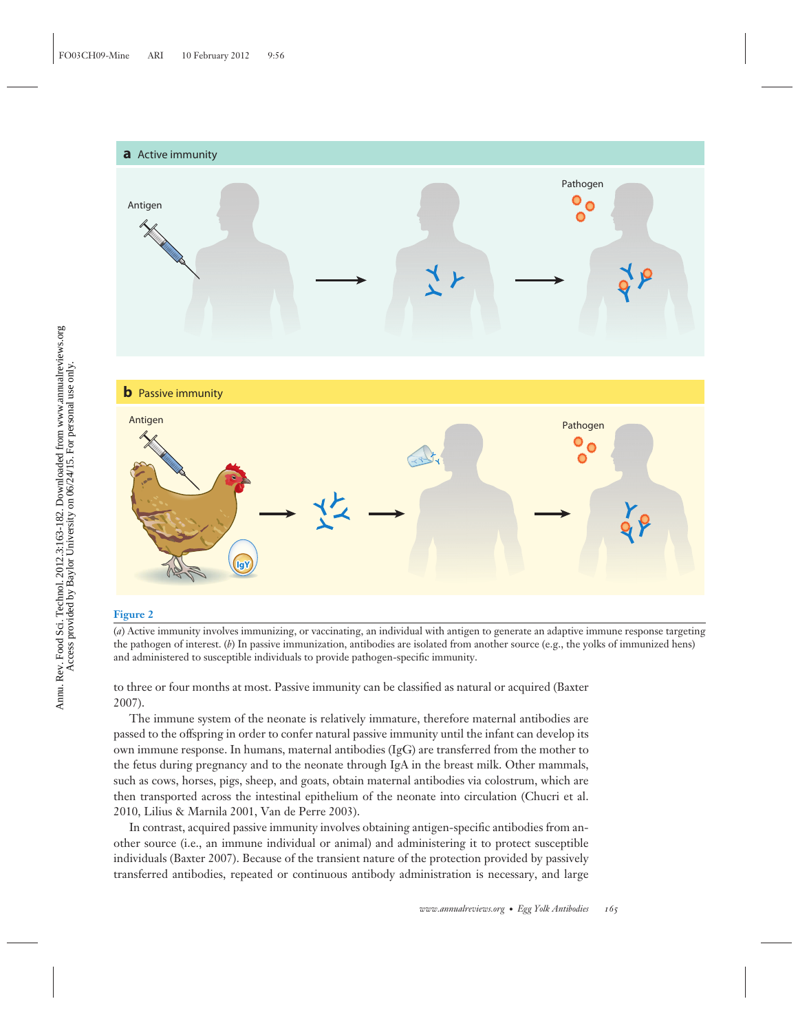# **a** Active immunity Pathogen 0 Antigen  $\bullet$ r **b** Passive immunity Antigen Antigen Antigen Antigen Antigen Antigen Antigen Antigen Antigen Antigen Antigen Antigen Antigen Antige<br>Antigen Antigen Antigen Antigen Antigen Antigen Antigen Antigen Antigen Antigen Antigen Antigen Antigen Antige Ö g P **IgY**

#### **Figure 2**

(*a*) Active immunity involves immunizing, or vaccinating, an individual with antigen to generate an adaptive immune response targeting the pathogen of interest. (*b*) In passive immunization, antibodies are isolated from another source (e.g., the yolks of immunized hens) and administered to susceptible individuals to provide pathogen-specific immunity.

to three or four months at most. Passive immunity can be classified as natural or acquired (Baxter 2007).

The immune system of the neonate is relatively immature, therefore maternal antibodies are passed to the offspring in order to confer natural passive immunity until the infant can develop its own immune response. In humans, maternal antibodies (IgG) are transferred from the mother to the fetus during pregnancy and to the neonate through IgA in the breast milk. Other mammals, such as cows, horses, pigs, sheep, and goats, obtain maternal antibodies via colostrum, which are then transported across the intestinal epithelium of the neonate into circulation (Chucri et al. 2010, Lilius & Marnila 2001, Van de Perre 2003).

In contrast, acquired passive immunity involves obtaining antigen-specific antibodies from another source (i.e., an immune individual or animal) and administering it to protect susceptible individuals (Baxter 2007). Because of the transient nature of the protection provided by passively transferred antibodies, repeated or continuous antibody administration is necessary, and large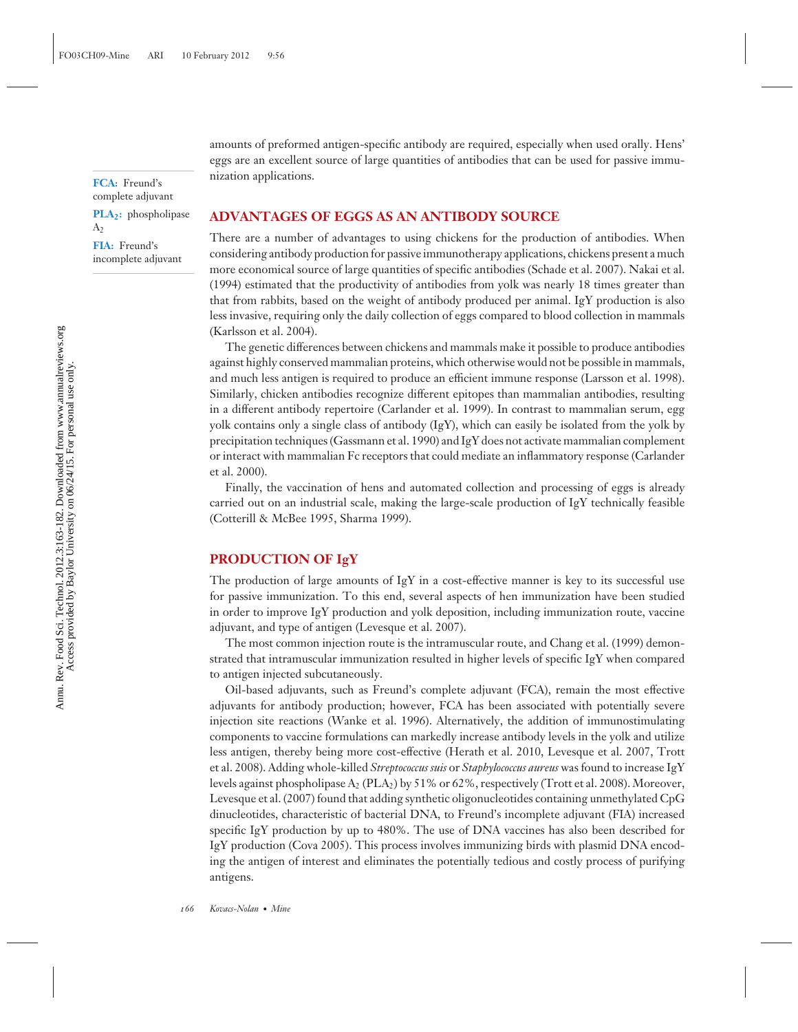**FCA:** Freund's complete adjuvant

**PLA<sub>2</sub>:** phospholipase  $A<sub>2</sub>$ 

**FIA:** Freund's incomplete adjuvant amounts of preformed antigen-specific antibody are required, especially when used orally. Hens' eggs are an excellent source of large quantities of antibodies that can be used for passive immunization applications.

#### **ADVANTAGES OF EGGS AS AN ANTIBODY SOURCE**

There are a number of advantages to using chickens for the production of antibodies. When considering antibody production for passive immunotherapy applications, chickens present a much more economical source of large quantities of specific antibodies (Schade et al. 2007). Nakai et al. (1994) estimated that the productivity of antibodies from yolk was nearly 18 times greater than that from rabbits, based on the weight of antibody produced per animal. IgY production is also less invasive, requiring only the daily collection of eggs compared to blood collection in mammals (Karlsson et al. 2004).

The genetic differences between chickens and mammals make it possible to produce antibodies against highly conserved mammalian proteins, which otherwise would not be possible in mammals, and much less antigen is required to produce an efficient immune response (Larsson et al. 1998). Similarly, chicken antibodies recognize different epitopes than mammalian antibodies, resulting in a different antibody repertoire (Carlander et al. 1999). In contrast to mammalian serum, egg yolk contains only a single class of antibody (IgY), which can easily be isolated from the yolk by precipitation techniques (Gassmann et al. 1990) and IgY does not activate mammalian complement or interact with mammalian Fc receptors that could mediate an inflammatory response (Carlander et al. 2000).

Finally, the vaccination of hens and automated collection and processing of eggs is already carried out on an industrial scale, making the large-scale production of IgY technically feasible (Cotterill & McBee 1995, Sharma 1999).

#### **PRODUCTION OF IgY**

The production of large amounts of  $IgY$  in a cost-effective manner is key to its successful use for passive immunization. To this end, several aspects of hen immunization have been studied in order to improve IgY production and yolk deposition, including immunization route, vaccine adjuvant, and type of antigen (Levesque et al. 2007).

The most common injection route is the intramuscular route, and Chang et al. (1999) demonstrated that intramuscular immunization resulted in higher levels of specific IgY when compared to antigen injected subcutaneously.

Oil-based adjuvants, such as Freund's complete adjuvant (FCA), remain the most effective adjuvants for antibody production; however, FCA has been associated with potentially severe injection site reactions (Wanke et al. 1996). Alternatively, the addition of immunostimulating components to vaccine formulations can markedly increase antibody levels in the yolk and utilize less antigen, thereby being more cost-effective (Herath et al. 2010, Levesque et al. 2007, Trott et al. 2008). Adding whole-killed *Streptococcus suis* or *Staphylococcus aureus* was found to increase IgY levels against phospholipase  $A_2$  (PLA<sub>2</sub>) by 51% or 62%, respectively (Trott et al. 2008). Moreover, Levesque et al. (2007) found that adding synthetic oligonucleotides containing unmethylated CpG dinucleotides, characteristic of bacterial DNA, to Freund's incomplete adjuvant (FIA) increased specific IgY production by up to 480%. The use of DNA vaccines has also been described for IgY production (Cova 2005). This process involves immunizing birds with plasmid DNA encoding the antigen of interest and eliminates the potentially tedious and costly process of purifying antigens.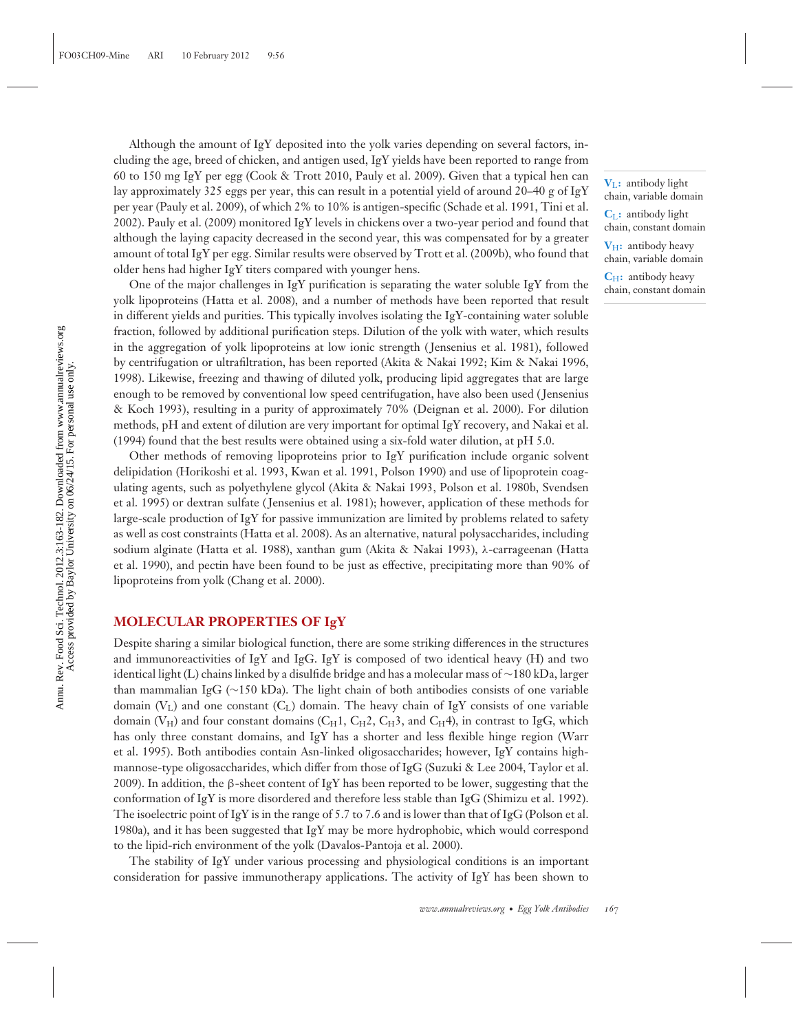Although the amount of IgY deposited into the yolk varies depending on several factors, including the age, breed of chicken, and antigen used, IgY yields have been reported to range from 60 to 150 mg IgY per egg (Cook & Trott 2010, Pauly et al. 2009). Given that a typical hen can lay approximately 325 eggs per year, this can result in a potential yield of around 20–40 g of IgY per year (Pauly et al. 2009), of which 2% to 10% is antigen-specific (Schade et al. 1991, Tini et al. 2002). Pauly et al. (2009) monitored IgY levels in chickens over a two-year period and found that although the laying capacity decreased in the second year, this was compensated for by a greater amount of total IgY per egg. Similar results were observed by Trott et al. (2009b), who found that older hens had higher IgY titers compared with younger hens.

One of the major challenges in IgY purification is separating the water soluble IgY from the yolk lipoproteins (Hatta et al. 2008), and a number of methods have been reported that result in different yields and purities. This typically involves isolating the IgY-containing water soluble fraction, followed by additional purification steps. Dilution of the yolk with water, which results in the aggregation of yolk lipoproteins at low ionic strength ( Jensenius et al. 1981), followed by centrifugation or ultrafiltration, has been reported (Akita & Nakai 1992; Kim & Nakai 1996, 1998). Likewise, freezing and thawing of diluted yolk, producing lipid aggregates that are large enough to be removed by conventional low speed centrifugation, have also been used ( Jensenius & Koch 1993), resulting in a purity of approximately 70% (Deignan et al. 2000). For dilution methods, pH and extent of dilution are very important for optimal IgY recovery, and Nakai et al. (1994) found that the best results were obtained using a six-fold water dilution, at pH 5.0.

Other methods of removing lipoproteins prior to IgY purification include organic solvent delipidation (Horikoshi et al. 1993, Kwan et al. 1991, Polson 1990) and use of lipoprotein coagulating agents, such as polyethylene glycol (Akita & Nakai 1993, Polson et al. 1980b, Svendsen et al. 1995) or dextran sulfate ( Jensenius et al. 1981); however, application of these methods for large-scale production of IgY for passive immunization are limited by problems related to safety as well as cost constraints (Hatta et al. 2008). As an alternative, natural polysaccharides, including sodium alginate (Hatta et al. 1988), xanthan gum (Akita & Nakai 1993), λ-carrageenan (Hatta et al. 1990), and pectin have been found to be just as effective, precipitating more than 90% of lipoproteins from yolk (Chang et al. 2000).

#### **MOLECULAR PROPERTIES OF IgY**

Despite sharing a similar biological function, there are some striking differences in the structures and immunoreactivities of IgY and IgG. IgY is composed of two identical heavy (H) and two identical light (L) chains linked by a disulfide bridge and has a molecular mass of ∼180 kDa, larger than mammalian IgG (∼150 kDa). The light chain of both antibodies consists of one variable domain  $(V<sub>L</sub>)$  and one constant  $(C<sub>L</sub>)$  domain. The heavy chain of IgY consists of one variable domain (V<sub>H</sub>) and four constant domains (C<sub>H</sub>1, C<sub>H</sub>2, C<sub>H</sub>3, and C<sub>H</sub>4), in contrast to IgG, which has only three constant domains, and IgY has a shorter and less flexible hinge region (Warr et al. 1995). Both antibodies contain Asn-linked oligosaccharides; however, IgY contains highmannose-type oligosaccharides, which differ from those of IgG (Suzuki & Lee 2004, Taylor et al. 2009). In addition, the β-sheet content of IgY has been reported to be lower, suggesting that the conformation of IgY is more disordered and therefore less stable than IgG (Shimizu et al. 1992). The isoelectric point of IgY is in the range of 5.7 to 7.6 and is lower than that of IgG (Polson et al. 1980a), and it has been suggested that IgY may be more hydrophobic, which would correspond to the lipid-rich environment of the yolk (Davalos-Pantoja et al. 2000).

The stability of IgY under various processing and physiological conditions is an important consideration for passive immunotherapy applications. The activity of IgY has been shown to

**V**L**:** antibody light chain, variable domain

**C**L**:** antibody light chain, constant domain

**V**H**:** antibody heavy chain, variable domain

**C**<sub>H</sub>: antibody heavy chain, constant domain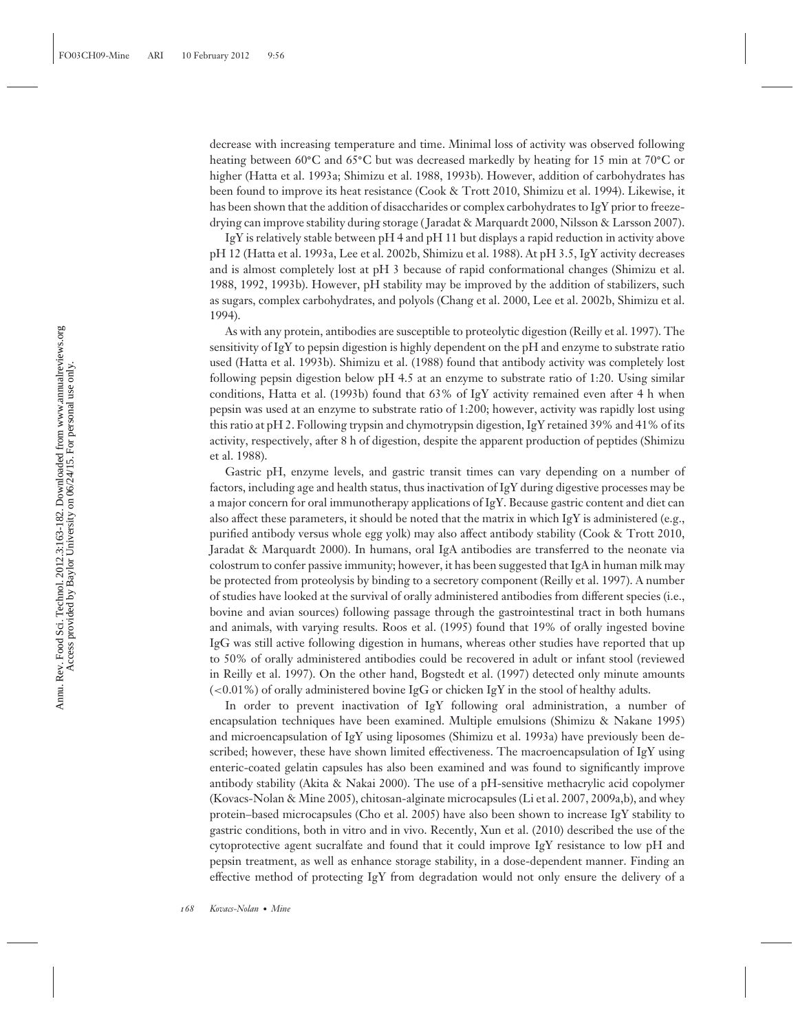decrease with increasing temperature and time. Minimal loss of activity was observed following heating between 60**◦**C and 65**◦**C but was decreased markedly by heating for 15 min at 70**◦**C or higher (Hatta et al. 1993a; Shimizu et al. 1988, 1993b). However, addition of carbohydrates has been found to improve its heat resistance (Cook & Trott 2010, Shimizu et al. 1994). Likewise, it has been shown that the addition of disaccharides or complex carbohydrates to IgY prior to freezedrying can improve stability during storage ( Jaradat & Marquardt 2000, Nilsson & Larsson 2007).

IgY is relatively stable between pH 4 and pH 11 but displays a rapid reduction in activity above pH 12 (Hatta et al. 1993a, Lee et al. 2002b, Shimizu et al. 1988). At pH 3.5, IgY activity decreases and is almost completely lost at pH 3 because of rapid conformational changes (Shimizu et al. 1988, 1992, 1993b). However, pH stability may be improved by the addition of stabilizers, such as sugars, complex carbohydrates, and polyols (Chang et al. 2000, Lee et al. 2002b, Shimizu et al. 1994).

As with any protein, antibodies are susceptible to proteolytic digestion (Reilly et al. 1997). The sensitivity of IgY to pepsin digestion is highly dependent on the pH and enzyme to substrate ratio used (Hatta et al. 1993b). Shimizu et al. (1988) found that antibody activity was completely lost following pepsin digestion below pH 4.5 at an enzyme to substrate ratio of 1:20. Using similar conditions, Hatta et al. (1993b) found that 63% of IgY activity remained even after 4 h when pepsin was used at an enzyme to substrate ratio of 1:200; however, activity was rapidly lost using this ratio at pH 2. Following trypsin and chymotrypsin digestion, IgY retained 39% and 41% of its activity, respectively, after 8 h of digestion, despite the apparent production of peptides (Shimizu et al. 1988).

Gastric pH, enzyme levels, and gastric transit times can vary depending on a number of factors, including age and health status, thus inactivation of IgY during digestive processes may be a major concern for oral immunotherapy applications of IgY. Because gastric content and diet can also affect these parameters, it should be noted that the matrix in which IgY is administered (e.g., purified antibody versus whole egg yolk) may also affect antibody stability (Cook & Trott 2010, Jaradat & Marquardt 2000). In humans, oral IgA antibodies are transferred to the neonate via colostrum to confer passive immunity; however, it has been suggested that IgA in human milk may be protected from proteolysis by binding to a secretory component (Reilly et al. 1997). A number of studies have looked at the survival of orally administered antibodies from different species (i.e., bovine and avian sources) following passage through the gastrointestinal tract in both humans and animals, with varying results. Roos et al. (1995) found that 19% of orally ingested bovine IgG was still active following digestion in humans, whereas other studies have reported that up to 50% of orally administered antibodies could be recovered in adult or infant stool (reviewed in Reilly et al. 1997). On the other hand, Bogstedt et al. (1997) detected only minute amounts  $\leq 0.01\%$ ) of orally administered bovine IgG or chicken IgY in the stool of healthy adults.

In order to prevent inactivation of IgY following oral administration, a number of encapsulation techniques have been examined. Multiple emulsions (Shimizu & Nakane 1995) and microencapsulation of IgY using liposomes (Shimizu et al. 1993a) have previously been described; however, these have shown limited effectiveness. The macroencapsulation of IgY using enteric-coated gelatin capsules has also been examined and was found to significantly improve antibody stability (Akita & Nakai 2000). The use of a pH-sensitive methacrylic acid copolymer (Kovacs-Nolan & Mine 2005), chitosan-alginate microcapsules (Li et al. 2007, 2009a,b), and whey protein–based microcapsules (Cho et al. 2005) have also been shown to increase IgY stability to gastric conditions, both in vitro and in vivo. Recently, Xun et al. (2010) described the use of the cytoprotective agent sucralfate and found that it could improve IgY resistance to low pH and pepsin treatment, as well as enhance storage stability, in a dose-dependent manner. Finding an effective method of protecting IgY from degradation would not only ensure the delivery of a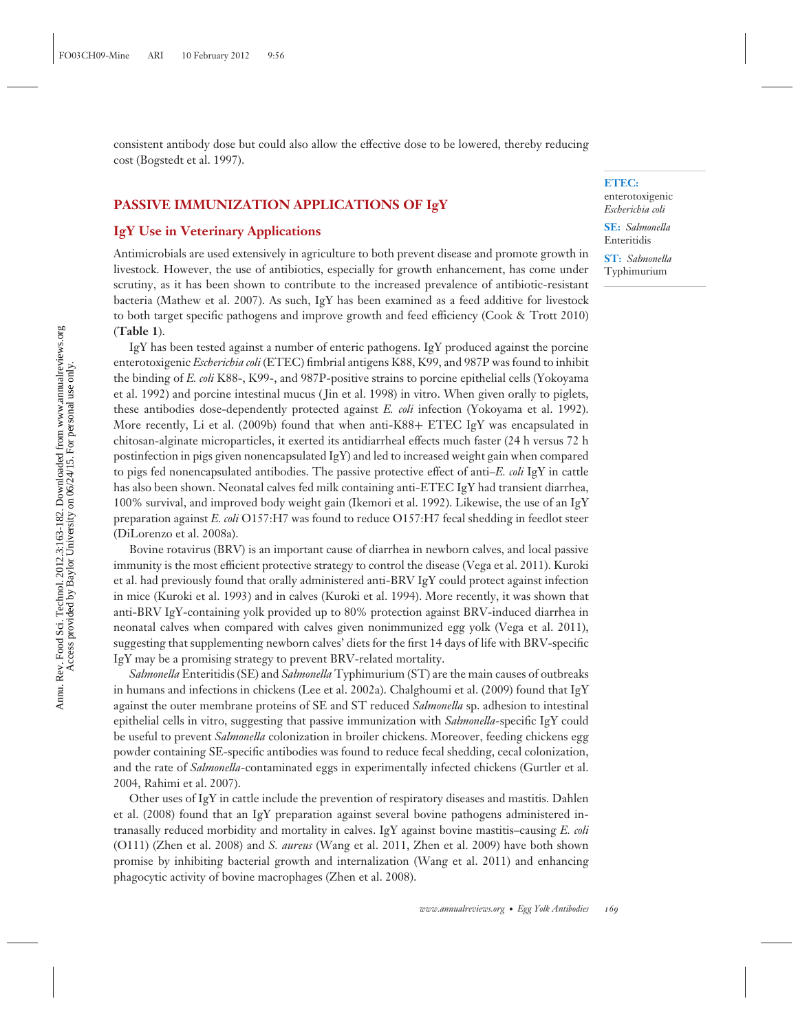#### **PASSIVE IMMUNIZATION APPLICATIONS OF IgY**

#### **IgY Use in Veterinary Applications**

Antimicrobials are used extensively in agriculture to both prevent disease and promote growth in livestock. However, the use of antibiotics, especially for growth enhancement, has come under scrutiny, as it has been shown to contribute to the increased prevalence of antibiotic-resistant bacteria (Mathew et al. 2007). As such, IgY has been examined as a feed additive for livestock to both target specific pathogens and improve growth and feed efficiency (Cook & Trott 2010) (**Table 1**).

IgY has been tested against a number of enteric pathogens. IgY produced against the porcine enterotoxigenic *Escherichia coli* (ETEC) fimbrial antigens K88, K99, and 987P was found to inhibit the binding of *E. coli* K88-, K99-, and 987P-positive strains to porcine epithelial cells (Yokoyama et al. 1992) and porcine intestinal mucus ( Jin et al. 1998) in vitro. When given orally to piglets, these antibodies dose-dependently protected against *E. coli* infection (Yokoyama et al. 1992). More recently, Li et al. (2009b) found that when anti-K88+ ETEC IgY was encapsulated in chitosan-alginate microparticles, it exerted its antidiarrheal effects much faster (24 h versus 72 h postinfection in pigs given nonencapsulated IgY) and led to increased weight gain when compared to pigs fed nonencapsulated antibodies. The passive protective effect of anti–*E. coli* IgY in cattle has also been shown. Neonatal calves fed milk containing anti-ETEC IgY had transient diarrhea, 100% survival, and improved body weight gain (Ikemori et al. 1992). Likewise, the use of an IgY preparation against *E. coli* O157:H7 was found to reduce O157:H7 fecal shedding in feedlot steer (DiLorenzo et al. 2008a).

Bovine rotavirus (BRV) is an important cause of diarrhea in newborn calves, and local passive immunity is the most efficient protective strategy to control the disease (Vega et al. 2011). Kuroki et al. had previously found that orally administered anti-BRV IgY could protect against infection in mice (Kuroki et al. 1993) and in calves (Kuroki et al. 1994). More recently, it was shown that anti-BRV IgY-containing yolk provided up to 80% protection against BRV-induced diarrhea in neonatal calves when compared with calves given nonimmunized egg yolk (Vega et al. 2011), suggesting that supplementing newborn calves' diets for the first 14 days of life with BRV-specific IgY may be a promising strategy to prevent BRV-related mortality.

*Salmonella* Enteritidis (SE) and *Salmonella* Typhimurium (ST) are the main causes of outbreaks in humans and infections in chickens (Lee et al. 2002a). Chalghoumi et al. (2009) found that IgY against the outer membrane proteins of SE and ST reduced *Salmonella* sp. adhesion to intestinal epithelial cells in vitro, suggesting that passive immunization with *Salmonella*-specific IgY could be useful to prevent *Salmonella* colonization in broiler chickens. Moreover, feeding chickens egg powder containing SE-specific antibodies was found to reduce fecal shedding, cecal colonization, and the rate of *Salmonella*-contaminated eggs in experimentally infected chickens (Gurtler et al. 2004, Rahimi et al. 2007).

Other uses of IgY in cattle include the prevention of respiratory diseases and mastitis. Dahlen et al. (2008) found that an IgY preparation against several bovine pathogens administered intranasally reduced morbidity and mortality in calves. IgY against bovine mastitis–causing *E. coli* (O111) (Zhen et al. 2008) and *S. aureus* (Wang et al. 2011, Zhen et al. 2009) have both shown promise by inhibiting bacterial growth and internalization (Wang et al. 2011) and enhancing phagocytic activity of bovine macrophages (Zhen et al. 2008).

#### **ETEC:**

enterotoxigenic *Escherichia coli*

**SE:** *Salmonella* Enteritidis

**ST:** *Salmonella* Typhimurium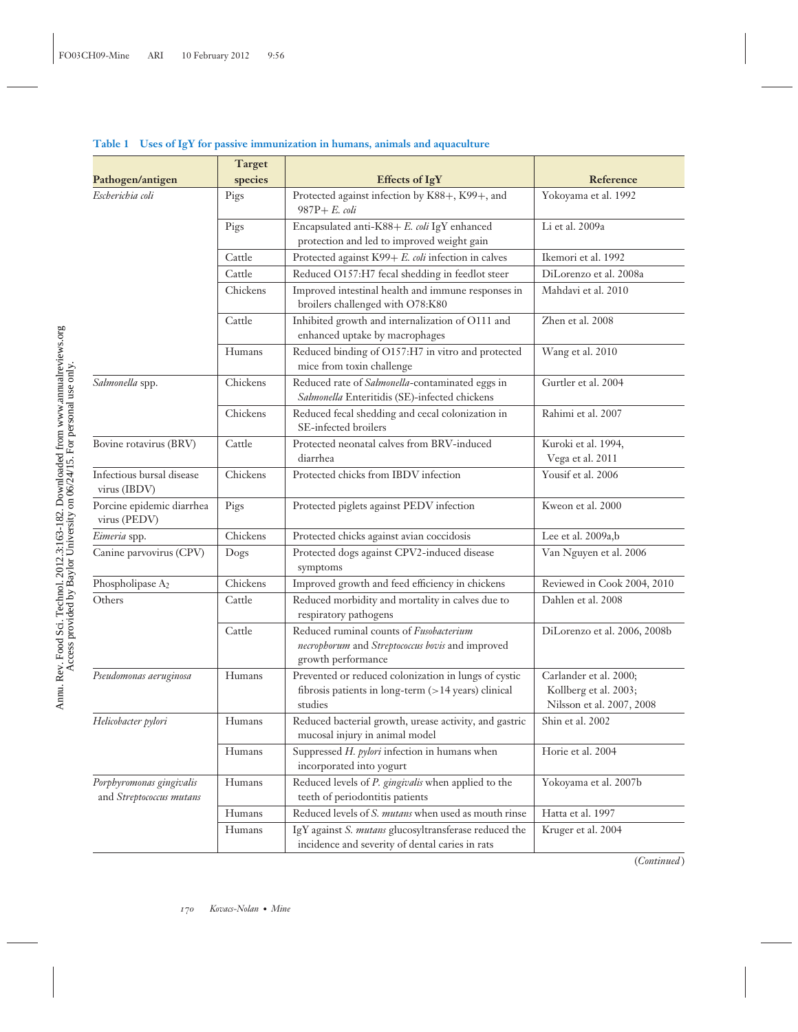|                                                      | <b>Target</b> |                                                                                                                        |                                                                              |
|------------------------------------------------------|---------------|------------------------------------------------------------------------------------------------------------------------|------------------------------------------------------------------------------|
| Pathogen/antigen                                     | species       | <b>Effects of IgY</b>                                                                                                  | Reference                                                                    |
| Escherichia coli                                     | Pigs          | Protected against infection by K88+, K99+, and<br>$987P + E.$ coli                                                     | Yokoyama et al. 1992                                                         |
|                                                      | Pigs          | Encapsulated anti-K88+ E. coli IgY enhanced<br>protection and led to improved weight gain                              | Li et al. 2009a                                                              |
|                                                      | Cattle        | Protected against K99+ E. coli infection in calves                                                                     | Ikemori et al. 1992                                                          |
|                                                      | Cattle        | Reduced O157:H7 fecal shedding in feedlot steer                                                                        | DiLorenzo et al. 2008a                                                       |
|                                                      | Chickens      | Improved intestinal health and immune responses in<br>broilers challenged with O78:K80                                 | Mahdavi et al. 2010                                                          |
|                                                      | Cattle        | Inhibited growth and internalization of O111 and<br>enhanced uptake by macrophages                                     | Zhen et al. 2008                                                             |
|                                                      | Humans        | Reduced binding of O157:H7 in vitro and protected<br>mice from toxin challenge                                         | Wang et al. 2010                                                             |
| Salmonella spp.                                      | Chickens      | Reduced rate of Salmonella-contaminated eggs in<br>Salmonella Enteritidis (SE)-infected chickens                       | Gurtler et al. 2004                                                          |
|                                                      | Chickens      | Reduced fecal shedding and cecal colonization in<br>SE-infected broilers                                               | Rahimi et al. 2007                                                           |
| Bovine rotavirus (BRV)                               | Cattle        | Protected neonatal calves from BRV-induced<br>diarrhea                                                                 | Kuroki et al. 1994,<br>Vega et al. 2011                                      |
| Infectious bursal disease<br>virus (IBDV)            | Chickens      | Protected chicks from IBDV infection                                                                                   | Yousif et al. 2006                                                           |
| Porcine epidemic diarrhea<br>virus (PEDV)            | Pigs          | Protected piglets against PEDV infection                                                                               | Kweon et al. 2000                                                            |
| Eimeria spp.                                         | Chickens      | Protected chicks against avian coccidosis                                                                              | Lee et al. 2009a,b                                                           |
| Canine parvovirus (CPV)                              | Dogs          | Protected dogs against CPV2-induced disease<br>symptoms                                                                | Van Nguyen et al. 2006                                                       |
| Phospholipase A2                                     | Chickens      | Improved growth and feed efficiency in chickens                                                                        | Reviewed in Cook 2004, 2010                                                  |
| Others                                               | Cattle        | Reduced morbidity and mortality in calves due to<br>respiratory pathogens                                              | Dahlen et al. 2008                                                           |
|                                                      | Cattle        | Reduced ruminal counts of Fusobacterium<br>necrophorum and Streptococcus bovis and improved<br>growth performance      | DiLorenzo et al. 2006, 2008b                                                 |
| Pseudomonas aeruginosa                               | Humans        | Prevented or reduced colonization in lungs of cystic<br>fibrosis patients in long-term (>14 years) clinical<br>studies | Carlander et al. 2000;<br>Kollberg et al. 2003;<br>Nilsson et al. 2007, 2008 |
| Helicobacter pylori                                  | Humans        | Reduced bacterial growth, urease activity, and gastric<br>mucosal injury in animal model                               | Shin et al. 2002                                                             |
|                                                      | Humans        | Suppressed $H.$ pylori infection in humans when<br>incorporated into yogurt                                            | Horie et al. 2004                                                            |
| Porphyromonas gingivalis<br>and Streptococcus mutans | Humans        | Reduced levels of P. gingivalis when applied to the<br>teeth of periodontitis patients                                 | Yokoyama et al. 2007b                                                        |
|                                                      | Humans        | Reduced levels of S. mutans when used as mouth rinse                                                                   | Hatta et al. 1997                                                            |
|                                                      | Humans        | IgY against S. mutans glucosyltransferase reduced the<br>incidence and severity of dental caries in rats               | Kruger et al. 2004                                                           |

#### **Table 1 Uses of IgY for passive immunization in humans, animals and aquaculture**

(*Continued* )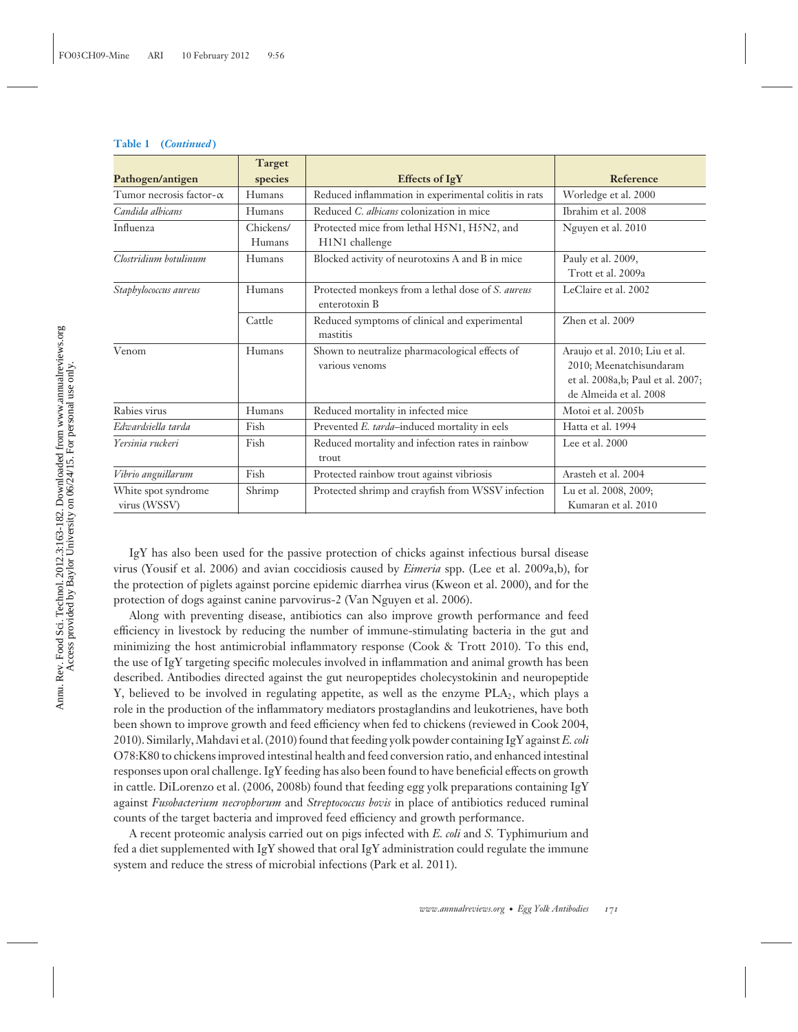|                                     | <b>Target</b>       |                                                                    |                                                                                                                          |
|-------------------------------------|---------------------|--------------------------------------------------------------------|--------------------------------------------------------------------------------------------------------------------------|
| Pathogen/antigen                    | species             | <b>Effects of IgY</b>                                              | Reference                                                                                                                |
| Tumor necrosis factor- $\alpha$     | Humans              | Reduced inflammation in experimental colitis in rats               | Worledge et al. 2000                                                                                                     |
| Candida albicans                    | Humans              | Reduced C. albicans colonization in mice                           | Ibrahim et al. 2008                                                                                                      |
| Influenza                           | Chickens/<br>Humans | Protected mice from lethal H5N1, H5N2, and<br>H1N1 challenge       | Nguyen et al. 2010                                                                                                       |
| Clostridium botulinum               | Humans              | Blocked activity of neurotoxins A and B in mice                    | Pauly et al. 2009,<br>Trott et al. 2009a                                                                                 |
| Staphylococcus aureus               | Humans              | Protected monkeys from a lethal dose of S. aureus<br>enterotoxin B | LeClaire et al. 2002                                                                                                     |
|                                     | Cattle              | Reduced symptoms of clinical and experimental<br>mastitis          | Zhen et al. 2009                                                                                                         |
| Venom                               | Humans              | Shown to neutralize pharmacological effects of<br>various venoms   | Araujo et al. 2010; Liu et al.<br>2010; Meenatchisundaram<br>et al. 2008a,b; Paul et al. 2007;<br>de Almeida et al. 2008 |
| Rabies virus                        | Humans              | Reduced mortality in infected mice                                 | Motoi et al. 2005b                                                                                                       |
| Edwardsiella tarda                  | Fish                | Prevented E. tarda-induced mortality in eels                       | Hatta et al. 1994                                                                                                        |
| Yersinia ruckeri                    | Fish                | Reduced mortality and infection rates in rainbow<br>trout          | Lee et al. 2000                                                                                                          |
| Vibrio anguillarum                  | Fish                | Protected rainbow trout against vibriosis                          | Arasteh et al. 2004                                                                                                      |
| White spot syndrome<br>virus (WSSV) | Shrimp              | Protected shrimp and crayfish from WSSV infection                  | Lu et al. 2008, 2009;<br>Kumaran et al. 2010                                                                             |

IgY has also been used for the passive protection of chicks against infectious bursal disease virus (Yousif et al. 2006) and avian coccidiosis caused by *Eimeria* spp. (Lee et al. 2009a,b), for the protection of piglets against porcine epidemic diarrhea virus (Kweon et al. 2000), and for the protection of dogs against canine parvovirus-2 (Van Nguyen et al. 2006).

Along with preventing disease, antibiotics can also improve growth performance and feed efficiency in livestock by reducing the number of immune-stimulating bacteria in the gut and minimizing the host antimicrobial inflammatory response (Cook & Trott 2010). To this end, the use of IgY targeting specific molecules involved in inflammation and animal growth has been described. Antibodies directed against the gut neuropeptides cholecystokinin and neuropeptide Y, believed to be involved in regulating appetite, as well as the enzyme  $PLA_2$ , which plays a role in the production of the inflammatory mediators prostaglandins and leukotrienes, have both been shown to improve growth and feed efficiency when fed to chickens (reviewed in Cook 2004, 2010). Similarly, Mahdavi et al. (2010) found that feeding yolk powder containing IgY against*E. coli* O78:K80 to chickens improved intestinal health and feed conversion ratio, and enhanced intestinal responses upon oral challenge. IgY feeding has also been found to have beneficial effects on growth in cattle. DiLorenzo et al. (2006, 2008b) found that feeding egg yolk preparations containing IgY against *Fusobacterium necrophorum* and *Streptococcus bovis* in place of antibiotics reduced ruminal counts of the target bacteria and improved feed efficiency and growth performance.

A recent proteomic analysis carried out on pigs infected with *E. coli* and *S.* Typhimurium and fed a diet supplemented with IgY showed that oral IgY administration could regulate the immune system and reduce the stress of microbial infections (Park et al. 2011).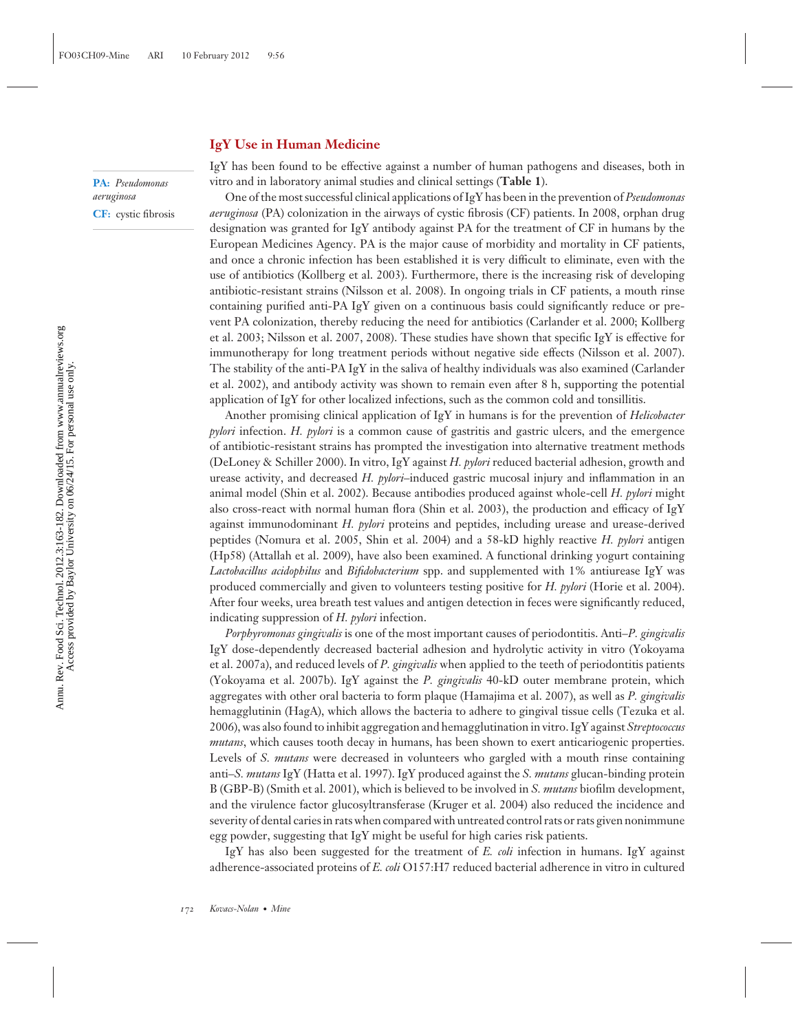#### **IgY Use in Human Medicine**

**PA:** *Pseudomonas aeruginosa* **CF:** cystic fibrosis IgY has been found to be effective against a number of human pathogens and diseases, both in vitro and in laboratory animal studies and clinical settings (**Table 1**).

One of the most successful clinical applications of IgY has been in the prevention of *Pseudomonas aeruginosa* (PA) colonization in the airways of cystic fibrosis (CF) patients. In 2008, orphan drug designation was granted for IgY antibody against PA for the treatment of CF in humans by the European Medicines Agency. PA is the major cause of morbidity and mortality in CF patients, and once a chronic infection has been established it is very difficult to eliminate, even with the use of antibiotics (Kollberg et al. 2003). Furthermore, there is the increasing risk of developing antibiotic-resistant strains (Nilsson et al. 2008). In ongoing trials in CF patients, a mouth rinse containing purified anti-PA IgY given on a continuous basis could significantly reduce or prevent PA colonization, thereby reducing the need for antibiotics (Carlander et al. 2000; Kollberg et al. 2003; Nilsson et al. 2007, 2008). These studies have shown that specific IgY is effective for immunotherapy for long treatment periods without negative side effects (Nilsson et al. 2007). The stability of the anti-PA IgY in the saliva of healthy individuals was also examined (Carlander et al. 2002), and antibody activity was shown to remain even after 8 h, supporting the potential application of IgY for other localized infections, such as the common cold and tonsillitis.

Another promising clinical application of IgY in humans is for the prevention of *Helicobacter pylori* infection. *H. pylori* is a common cause of gastritis and gastric ulcers, and the emergence of antibiotic-resistant strains has prompted the investigation into alternative treatment methods (DeLoney & Schiller 2000). In vitro, IgY against *H. pylori* reduced bacterial adhesion, growth and urease activity, and decreased *H. pylori*–induced gastric mucosal injury and inflammation in an animal model (Shin et al. 2002). Because antibodies produced against whole-cell *H. pylori* might also cross-react with normal human flora (Shin et al. 2003), the production and efficacy of IgY against immunodominant *H. pylori* proteins and peptides, including urease and urease-derived peptides (Nomura et al. 2005, Shin et al. 2004) and a 58-kD highly reactive *H. pylori* antigen (Hp58) (Attallah et al. 2009), have also been examined. A functional drinking yogurt containing *Lactobacillus acidophilus* and *Bifidobacterium* spp. and supplemented with 1% antiurease IgY was produced commercially and given to volunteers testing positive for *H. pylori* (Horie et al. 2004). After four weeks, urea breath test values and antigen detection in feces were significantly reduced, indicating suppression of *H. pylori* infection.

*Porphyromonas gingivalis* is one of the most important causes of periodontitis. Anti–*P. gingivalis* IgY dose-dependently decreased bacterial adhesion and hydrolytic activity in vitro (Yokoyama et al. 2007a), and reduced levels of *P. gingivalis* when applied to the teeth of periodontitis patients (Yokoyama et al. 2007b). IgY against the *P. gingivalis* 40-kD outer membrane protein, which aggregates with other oral bacteria to form plaque (Hamajima et al. 2007), as well as *P. gingivalis* hemagglutinin (HagA), which allows the bacteria to adhere to gingival tissue cells (Tezuka et al. 2006), was also found to inhibit aggregation and hemagglutination in vitro. IgY against *Streptococcus mutans*, which causes tooth decay in humans, has been shown to exert anticariogenic properties. Levels of *S. mutans* were decreased in volunteers who gargled with a mouth rinse containing anti–*S. mutans* IgY (Hatta et al. 1997). IgY produced against the *S. mutans* glucan-binding protein B (GBP-B) (Smith et al. 2001), which is believed to be involved in *S. mutans* biofilm development, and the virulence factor glucosyltransferase (Kruger et al. 2004) also reduced the incidence and severity of dental caries in rats when compared with untreated control rats or rats given nonimmune egg powder, suggesting that IgY might be useful for high caries risk patients.

IgY has also been suggested for the treatment of *E. coli* infection in humans. IgY against adherence-associated proteins of *E. coli* O157:H7 reduced bacterial adherence in vitro in cultured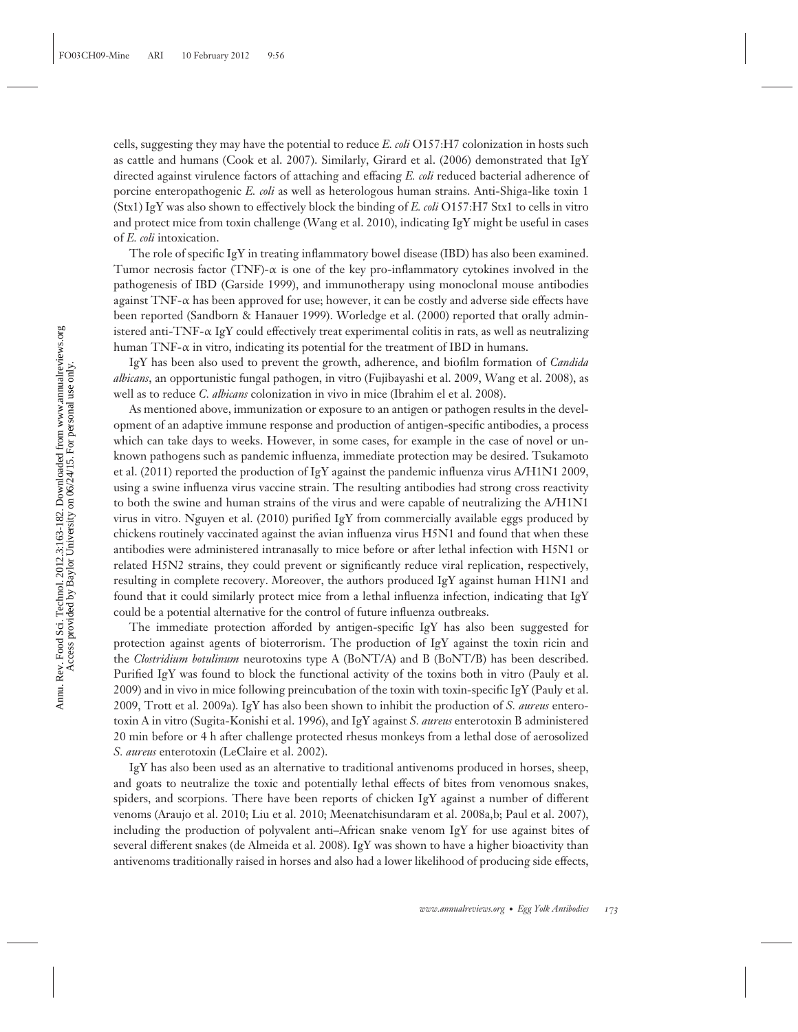cells, suggesting they may have the potential to reduce *E. coli* O157:H7 colonization in hosts such as cattle and humans (Cook et al. 2007). Similarly, Girard et al. (2006) demonstrated that IgY directed against virulence factors of attaching and effacing *E. coli* reduced bacterial adherence of porcine enteropathogenic *E. coli* as well as heterologous human strains. Anti-Shiga-like toxin 1 (Stx1) IgY was also shown to effectively block the binding of *E. coli* O157:H7 Stx1 to cells in vitro and protect mice from toxin challenge (Wang et al. 2010), indicating IgY might be useful in cases of *E. coli* intoxication.

The role of specific IgY in treating inflammatory bowel disease (IBD) has also been examined. Tumor necrosis factor (TNF)- $\alpha$  is one of the key pro-inflammatory cytokines involved in the pathogenesis of IBD (Garside 1999), and immunotherapy using monoclonal mouse antibodies against TNF- $\alpha$  has been approved for use; however, it can be costly and adverse side effects have been reported (Sandborn & Hanauer 1999). Worledge et al. (2000) reported that orally administered anti-TNF- $\alpha$  IgY could effectively treat experimental colitis in rats, as well as neutralizing human TNF- $\alpha$  in vitro, indicating its potential for the treatment of IBD in humans.

IgY has been also used to prevent the growth, adherence, and biofilm formation of *Candida albicans*, an opportunistic fungal pathogen, in vitro (Fujibayashi et al. 2009, Wang et al. 2008), as well as to reduce *C. albicans* colonization in vivo in mice (Ibrahim el et al. 2008).

As mentioned above, immunization or exposure to an antigen or pathogen results in the development of an adaptive immune response and production of antigen-specific antibodies, a process which can take days to weeks. However, in some cases, for example in the case of novel or unknown pathogens such as pandemic influenza, immediate protection may be desired. Tsukamoto et al. (2011) reported the production of IgY against the pandemic influenza virus A/H1N1 2009, using a swine influenza virus vaccine strain. The resulting antibodies had strong cross reactivity to both the swine and human strains of the virus and were capable of neutralizing the A/H1N1 virus in vitro. Nguyen et al. (2010) purified IgY from commercially available eggs produced by chickens routinely vaccinated against the avian influenza virus H5N1 and found that when these antibodies were administered intranasally to mice before or after lethal infection with H5N1 or related H5N2 strains, they could prevent or significantly reduce viral replication, respectively, resulting in complete recovery. Moreover, the authors produced IgY against human H1N1 and found that it could similarly protect mice from a lethal influenza infection, indicating that IgY could be a potential alternative for the control of future influenza outbreaks.

The immediate protection afforded by antigen-specific IgY has also been suggested for protection against agents of bioterrorism. The production of IgY against the toxin ricin and the *Clostridium botulinum* neurotoxins type A (BoNT/A) and B (BoNT/B) has been described. Purified IgY was found to block the functional activity of the toxins both in vitro (Pauly et al. 2009) and in vivo in mice following preincubation of the toxin with toxin-specific IgY (Pauly et al. 2009, Trott et al. 2009a). IgY has also been shown to inhibit the production of *S. aureus* enterotoxin A in vitro (Sugita-Konishi et al. 1996), and IgY against *S. aureus* enterotoxin B administered 20 min before or 4 h after challenge protected rhesus monkeys from a lethal dose of aerosolized *S. aureus* enterotoxin (LeClaire et al. 2002).

IgY has also been used as an alternative to traditional antivenoms produced in horses, sheep, and goats to neutralize the toxic and potentially lethal effects of bites from venomous snakes, spiders, and scorpions. There have been reports of chicken IgY against a number of different venoms (Araujo et al. 2010; Liu et al. 2010; Meenatchisundaram et al. 2008a,b; Paul et al. 2007), including the production of polyvalent anti–African snake venom IgY for use against bites of several different snakes (de Almeida et al. 2008). IgY was shown to have a higher bioactivity than antivenoms traditionally raised in horses and also had a lower likelihood of producing side effects,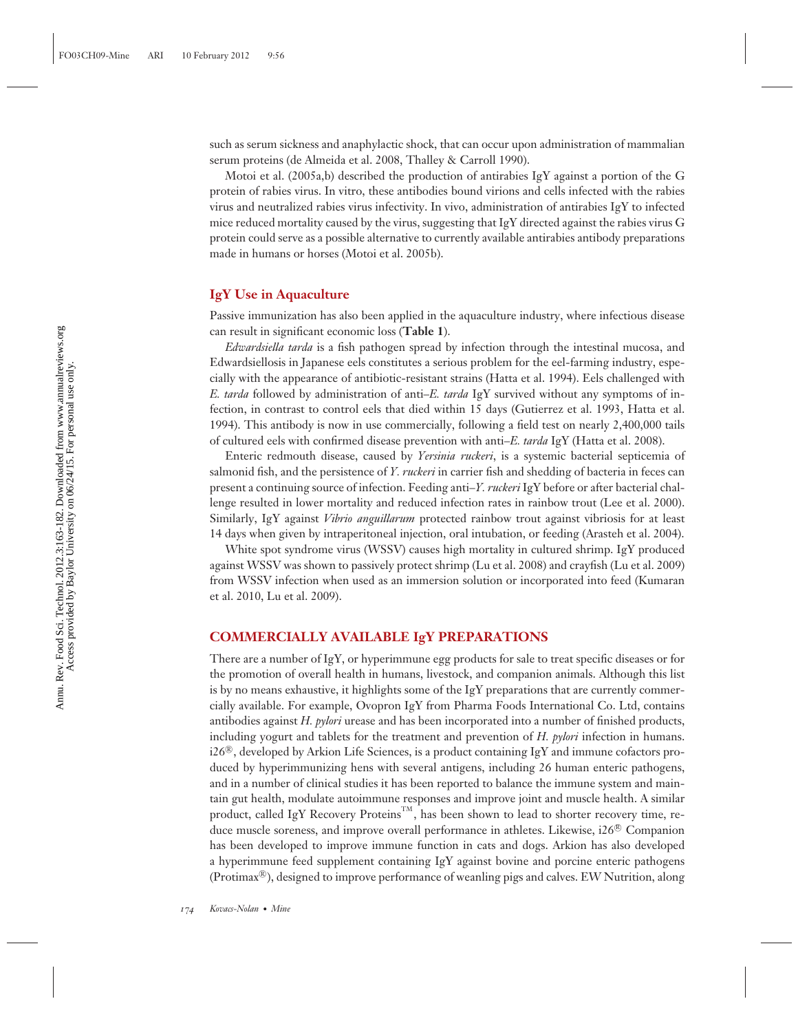such as serum sickness and anaphylactic shock, that can occur upon administration of mammalian serum proteins (de Almeida et al. 2008, Thalley & Carroll 1990).

Motoi et al. (2005a,b) described the production of antirabies IgY against a portion of the G protein of rabies virus. In vitro, these antibodies bound virions and cells infected with the rabies virus and neutralized rabies virus infectivity. In vivo, administration of antirabies IgY to infected mice reduced mortality caused by the virus, suggesting that IgY directed against the rabies virus G protein could serve as a possible alternative to currently available antirabies antibody preparations made in humans or horses (Motoi et al. 2005b).

#### **IgY Use in Aquaculture**

Passive immunization has also been applied in the aquaculture industry, where infectious disease can result in significant economic loss (**Table 1**).

*Edwardsiella tarda* is a fish pathogen spread by infection through the intestinal mucosa, and Edwardsiellosis in Japanese eels constitutes a serious problem for the eel-farming industry, especially with the appearance of antibiotic-resistant strains (Hatta et al. 1994). Eels challenged with *E. tarda* followed by administration of anti–*E. tarda* IgY survived without any symptoms of infection, in contrast to control eels that died within 15 days (Gutierrez et al. 1993, Hatta et al. 1994). This antibody is now in use commercially, following a field test on nearly 2,400,000 tails of cultured eels with confirmed disease prevention with anti–*E. tarda* IgY (Hatta et al. 2008).

Enteric redmouth disease, caused by *Yersinia ruckeri*, is a systemic bacterial septicemia of salmonid fish, and the persistence of *Y. ruckeri* in carrier fish and shedding of bacteria in feces can present a continuing source of infection. Feeding anti–*Y. ruckeri* IgY before or after bacterial challenge resulted in lower mortality and reduced infection rates in rainbow trout (Lee et al. 2000). Similarly, IgY against *Vibrio anguillarum* protected rainbow trout against vibriosis for at least 14 days when given by intraperitoneal injection, oral intubation, or feeding (Arasteh et al. 2004).

White spot syndrome virus (WSSV) causes high mortality in cultured shrimp. IgY produced against WSSV was shown to passively protect shrimp (Lu et al. 2008) and crayfish (Lu et al. 2009) from WSSV infection when used as an immersion solution or incorporated into feed (Kumaran et al. 2010, Lu et al. 2009).

#### **COMMERCIALLY AVAILABLE IgY PREPARATIONS**

There are a number of IgY, or hyperimmune egg products for sale to treat specific diseases or for the promotion of overall health in humans, livestock, and companion animals. Although this list is by no means exhaustive, it highlights some of the IgY preparations that are currently commercially available. For example, Ovopron IgY from Pharma Foods International Co. Ltd, contains antibodies against *H. pylori* urease and has been incorporated into a number of finished products, including yogurt and tablets for the treatment and prevention of *H. pylori* infection in humans. i26®, developed by Arkion Life Sciences, is a product containing IgY and immune cofactors produced by hyperimmunizing hens with several antigens, including 26 human enteric pathogens, and in a number of clinical studies it has been reported to balance the immune system and maintain gut health, modulate autoimmune responses and improve joint and muscle health. A similar product, called IgY Recovery Proteins<sup>TM</sup>, has been shown to lead to shorter recovery time, reduce muscle soreness, and improve overall performance in athletes. Likewise,  $i26^{\circ\circ}$  Companion has been developed to improve immune function in cats and dogs. Arkion has also developed a hyperimmune feed supplement containing IgY against bovine and porcine enteric pathogens (Protimax-<sup>R</sup> ), designed to improve performance of weanling pigs and calves. EW Nutrition, along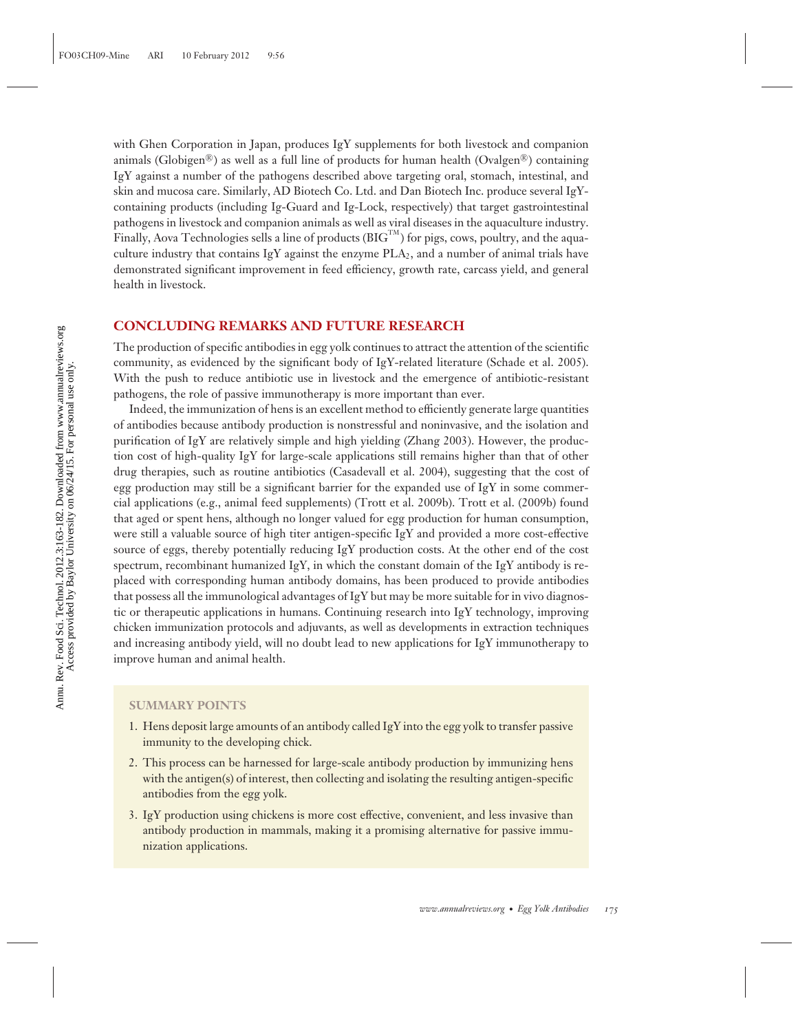with Ghen Corporation in Japan, produces IgY supplements for both livestock and companion animals (Globigen<sup>®</sup>) as well as a full line of products for human health (Ovalgen<sup>®</sup>) containing IgY against a number of the pathogens described above targeting oral, stomach, intestinal, and skin and mucosa care. Similarly, AD Biotech Co. Ltd. and Dan Biotech Inc. produce several IgYcontaining products (including Ig-Guard and Ig-Lock, respectively) that target gastrointestinal pathogens in livestock and companion animals as well as viral diseases in the aquaculture industry. Finally, Aova Technologies sells a line of products  $(BIG<sup>TM</sup>)$  for pigs, cows, poultry, and the aquaculture industry that contains IgY against the enzyme  $PLA<sub>2</sub>$ , and a number of animal trials have demonstrated significant improvement in feed efficiency, growth rate, carcass yield, and general health in livestock.

#### **CONCLUDING REMARKS AND FUTURE RESEARCH**

The production of specific antibodies in egg yolk continues to attract the attention of the scientific community, as evidenced by the significant body of IgY-related literature (Schade et al. 2005). With the push to reduce antibiotic use in livestock and the emergence of antibiotic-resistant pathogens, the role of passive immunotherapy is more important than ever.

Indeed, the immunization of hens is an excellent method to efficiently generate large quantities of antibodies because antibody production is nonstressful and noninvasive, and the isolation and purification of IgY are relatively simple and high yielding (Zhang 2003). However, the production cost of high-quality IgY for large-scale applications still remains higher than that of other drug therapies, such as routine antibiotics (Casadevall et al. 2004), suggesting that the cost of egg production may still be a significant barrier for the expanded use of IgY in some commercial applications (e.g., animal feed supplements) (Trott et al. 2009b). Trott et al. (2009b) found that aged or spent hens, although no longer valued for egg production for human consumption, were still a valuable source of high titer antigen-specific IgY and provided a more cost-effective source of eggs, thereby potentially reducing IgY production costs. At the other end of the cost spectrum, recombinant humanized IgY, in which the constant domain of the IgY antibody is replaced with corresponding human antibody domains, has been produced to provide antibodies that possess all the immunological advantages of IgY but may be more suitable for in vivo diagnostic or therapeutic applications in humans. Continuing research into IgY technology, improving chicken immunization protocols and adjuvants, as well as developments in extraction techniques and increasing antibody yield, will no doubt lead to new applications for IgY immunotherapy to improve human and animal health.

#### **SUMMARY POINTS**

- 1. Hens deposit large amounts of an antibody called IgY into the egg yolk to transfer passive immunity to the developing chick.
- 2. This process can be harnessed for large-scale antibody production by immunizing hens with the antigen(s) of interest, then collecting and isolating the resulting antigen-specific antibodies from the egg yolk.
- 3. IgY production using chickens is more cost effective, convenient, and less invasive than antibody production in mammals, making it a promising alternative for passive immunization applications.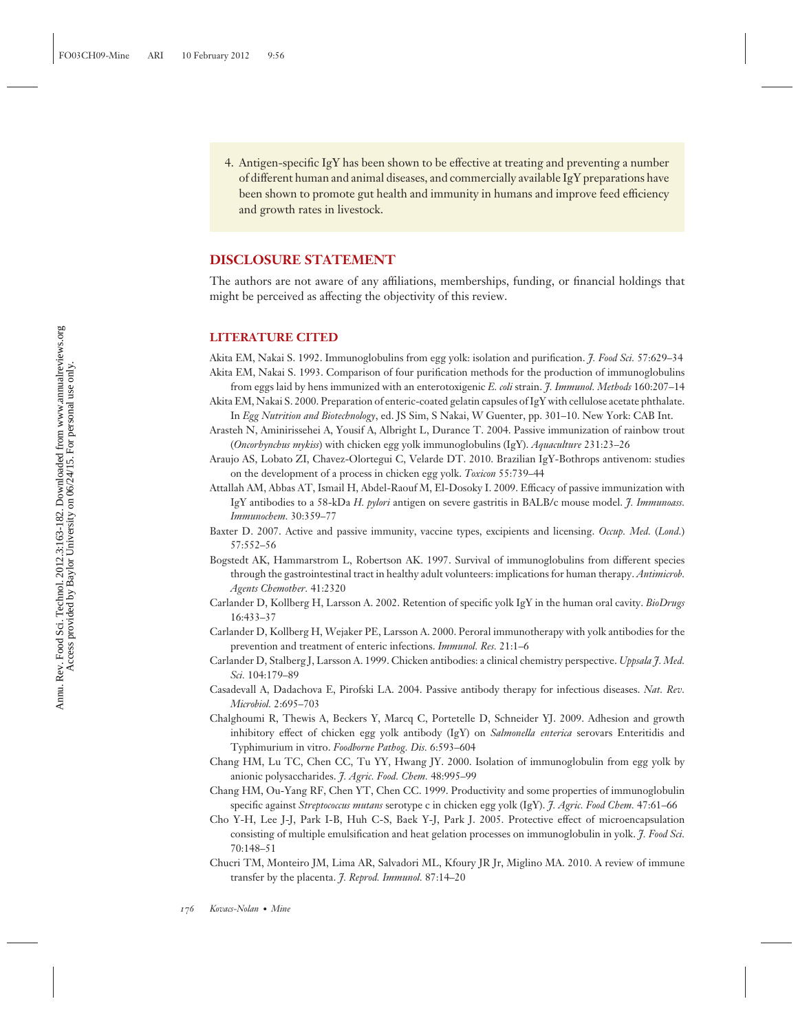4. Antigen-specific IgY has been shown to be effective at treating and preventing a number of different human and animal diseases, and commercially available IgY preparations have been shown to promote gut health and immunity in humans and improve feed efficiency and growth rates in livestock.

#### **DISCLOSURE STATEMENT**

The authors are not aware of any affiliations, memberships, funding, or financial holdings that might be perceived as affecting the objectivity of this review.

#### **LITERATURE CITED**

Akita EM, Nakai S. 1992. Immunoglobulins from egg yolk: isolation and purification. *J. Food Sci.* 57:629–34 Akita EM, Nakai S. 1993. Comparison of four purification methods for the production of immunoglobulins

from eggs laid by hens immunized with an enterotoxigenic *E. coli* strain. *J. Immunol. Methods* 160:207–14 Akita EM, Nakai S. 2000. Preparation of enteric-coated gelatin capsules of IgY with cellulose acetate phthalate.

In *Egg Nutrition and Biotechnology*, ed. JS Sim, S Nakai, W Guenter, pp. 301–10. New York: CAB Int.

Arasteh N, Aminirissehei A, Yousif A, Albright L, Durance T. 2004. Passive immunization of rainbow trout (*Oncorhynchus mykiss*) with chicken egg yolk immunoglobulins (IgY). *Aquaculture* 231:23–26

- Araujo AS, Lobato ZI, Chavez-Olortegui C, Velarde DT. 2010. Brazilian IgY-Bothrops antivenom: studies on the development of a process in chicken egg yolk. *Toxicon* 55:739–44
- Attallah AM, Abbas AT, Ismail H, Abdel-Raouf M, El-Dosoky I. 2009. Efficacy of passive immunization with IgY antibodies to a 58-kDa *H. pylori* antigen on severe gastritis in BALB/c mouse model. *J. Immunoass. Immunochem.* 30:359–77
- Baxter D. 2007. Active and passive immunity, vaccine types, excipients and licensing. *Occup. Med.* (*Lond.*) 57:552–56
- Bogstedt AK, Hammarstrom L, Robertson AK. 1997. Survival of immunoglobulins from different species through the gastrointestinal tract in healthy adult volunteers: implications for human therapy. *Antimicrob. Agents Chemother.* 41:2320
- Carlander D, Kollberg H, Larsson A. 2002. Retention of specific yolk IgY in the human oral cavity. *BioDrugs* 16:433–37
- Carlander D, Kollberg H, Wejaker PE, Larsson A. 2000. Peroral immunotherapy with yolk antibodies for the prevention and treatment of enteric infections. *Immunol. Res.* 21:1–6
- Carlander D, Stalberg J, Larsson A. 1999. Chicken antibodies: a clinical chemistry perspective. *Uppsala J. Med. Sci.* 104:179–89
- Casadevall A, Dadachova E, Pirofski LA. 2004. Passive antibody therapy for infectious diseases. *Nat. Rev. Microbiol.* 2:695–703
- Chalghoumi R, Thewis A, Beckers Y, Marcq C, Portetelle D, Schneider YJ. 2009. Adhesion and growth inhibitory effect of chicken egg yolk antibody (IgY) on *Salmonella enterica* serovars Enteritidis and Typhimurium in vitro. *Foodborne Pathog. Dis.* 6:593–604
- Chang HM, Lu TC, Chen CC, Tu YY, Hwang JY. 2000. Isolation of immunoglobulin from egg yolk by anionic polysaccharides. *J. Agric. Food. Chem.* 48:995–99
- Chang HM, Ou-Yang RF, Chen YT, Chen CC. 1999. Productivity and some properties of immunoglobulin specific against *Streptococcus mutans* serotype c in chicken egg yolk (IgY). *J. Agric. Food Chem.* 47:61–66
- Cho Y-H, Lee J-J, Park I-B, Huh C-S, Baek Y-J, Park J. 2005. Protective effect of microencapsulation consisting of multiple emulsification and heat gelation processes on immunoglobulin in yolk. *J. Food Sci.* 70:148–51
- Chucri TM, Monteiro JM, Lima AR, Salvadori ML, Kfoury JR Jr, Miglino MA. 2010. A review of immune transfer by the placenta. *J. Reprod. Immunol.* 87:14–20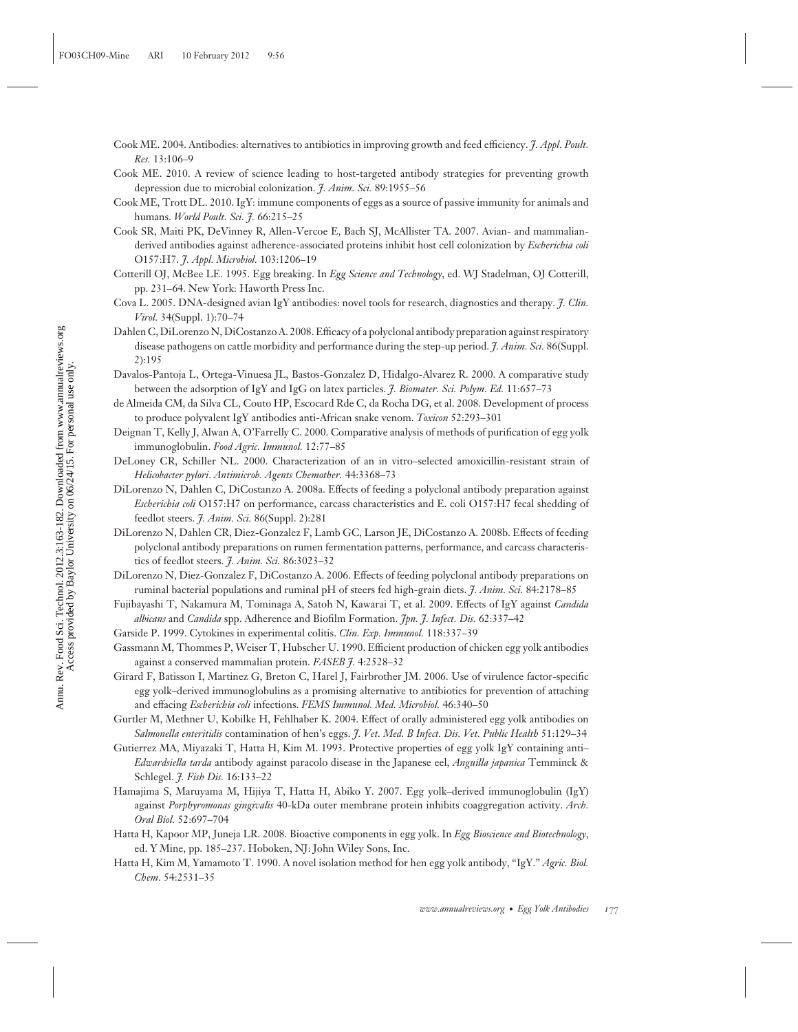- Cook ME. 2004. Antibodies: alternatives to antibiotics in improving growth and feed efficiency. *J. Appl. Poult. Res.* 13:106–9
- Cook ME. 2010. A review of science leading to host-targeted antibody strategies for preventing growth depression due to microbial colonization. *J. Anim. Sci.* 89:1955–56
- Cook ME, Trott DL. 2010. IgY: immune components of eggs as a source of passive immunity for animals and humans. *World Poult. Sci. J.* 66:215–25
- Cook SR, Maiti PK, DeVinney R, Allen-Vercoe E, Bach SJ, McAllister TA. 2007. Avian- and mammalianderived antibodies against adherence-associated proteins inhibit host cell colonization by *Escherichia coli* O157:H7. *J. Appl. Microbiol.* 103:1206–19
- Cotterill OJ, McBee LE. 1995. Egg breaking. In *Egg Science and Technology*, ed. WJ Stadelman, OJ Cotterill, pp. 231–64. New York: Haworth Press Inc.
- Cova L. 2005. DNA-designed avian IgY antibodies: novel tools for research, diagnostics and therapy. *J. Clin. Virol.* 34(Suppl. 1):70–74
- Dahlen C, DiLorenzo N, DiCostanzo A. 2008. Efficacy of a polyclonal antibody preparation against respiratory disease pathogens on cattle morbidity and performance during the step-up period. *J. Anim. Sci.* 86(Suppl. 2):195
- Davalos-Pantoja L, Ortega-Vinuesa JL, Bastos-Gonzalez D, Hidalgo-Alvarez R. 2000. A comparative study between the adsorption of IgY and IgG on latex particles. *J. Biomater. Sci. Polym. Ed.* 11:657–73
- de Almeida CM, da Silva CL, Couto HP, Escocard Rde C, da Rocha DG, et al. 2008. Development of process to produce polyvalent IgY antibodies anti-African snake venom. *Toxicon* 52:293–301
- Deignan T, Kelly J, Alwan A, O'Farrelly C. 2000. Comparative analysis of methods of purification of egg yolk immunoglobulin. *Food Agric. Immunol.* 12:77–85
- DeLoney CR, Schiller NL. 2000. Characterization of an in vitro–selected amoxicillin-resistant strain of *Helicobacter pylori*. *Antimicrob. Agents Chemother.* 44:3368–73
- DiLorenzo N, Dahlen C, DiCostanzo A. 2008a. Effects of feeding a polyclonal antibody preparation against *Escherichia coli* O157:H7 on performance, carcass characteristics and E. coli O157:H7 fecal shedding of feedlot steers. *J. Anim. Sci.* 86(Suppl. 2):281
- DiLorenzo N, Dahlen CR, Diez-Gonzalez F, Lamb GC, Larson JE, DiCostanzo A. 2008b. Effects of feeding polyclonal antibody preparations on rumen fermentation patterns, performance, and carcass characteristics of feedlot steers. *J. Anim. Sci.* 86:3023–32
- DiLorenzo N, Diez-Gonzalez F, DiCostanzo A. 2006. Effects of feeding polyclonal antibody preparations on ruminal bacterial populations and ruminal pH of steers fed high-grain diets. *J. Anim. Sci.* 84:2178–85
- Fujibayashi T, Nakamura M, Tominaga A, Satoh N, Kawarai T, et al. 2009. Effects of IgY against *Candida albicans* and *Candida* spp. Adherence and Biofilm Formation. *Jpn. J. Infect. Dis.* 62:337–42
- Garside P. 1999. Cytokines in experimental colitis. *Clin. Exp. Immunol.* 118:337–39
- Gassmann M, Thommes P, Weiser T, Hubscher U. 1990. Efficient production of chicken egg yolk antibodies against a conserved mammalian protein. *FASEB J.* 4:2528–32
- Girard F, Batisson I, Martinez G, Breton C, Harel J, Fairbrother JM. 2006. Use of virulence factor-specific egg yolk–derived immunoglobulins as a promising alternative to antibiotics for prevention of attaching and effacing *Escherichia coli* infections. *FEMS Immunol. Med. Microbiol.* 46:340–50
- Gurtler M, Methner U, Kobilke H, Fehlhaber K. 2004. Effect of orally administered egg yolk antibodies on *Salmonella enteritidis* contamination of hen's eggs. *J. Vet. Med. B Infect. Dis. Vet. Public Health* 51:129–34
- Gutierrez MA, Miyazaki T, Hatta H, Kim M. 1993. Protective properties of egg yolk IgY containing anti– *Edwardsiella tarda* antibody against paracolo disease in the Japanese eel, *Anguilla japanica* Temminck & Schlegel. *J. Fish Dis.* 16:133–22
- Hamajima S, Maruyama M, Hijiya T, Hatta H, Abiko Y. 2007. Egg yolk–derived immunoglobulin (IgY) against *Porphyromonas gingivalis* 40-kDa outer membrane protein inhibits coaggregation activity. *Arch. Oral Biol.* 52:697–704
- Hatta H, Kapoor MP, Juneja LR. 2008. Bioactive components in egg yolk. In *Egg Bioscience and Biotechnology*, ed. Y Mine, pp. 185–237. Hoboken, NJ: John Wiley Sons, Inc.
- Hatta H, Kim M, Yamamoto T. 1990. A novel isolation method for hen egg yolk antibody, "IgY." *Agric. Biol. Chem.* 54:2531–35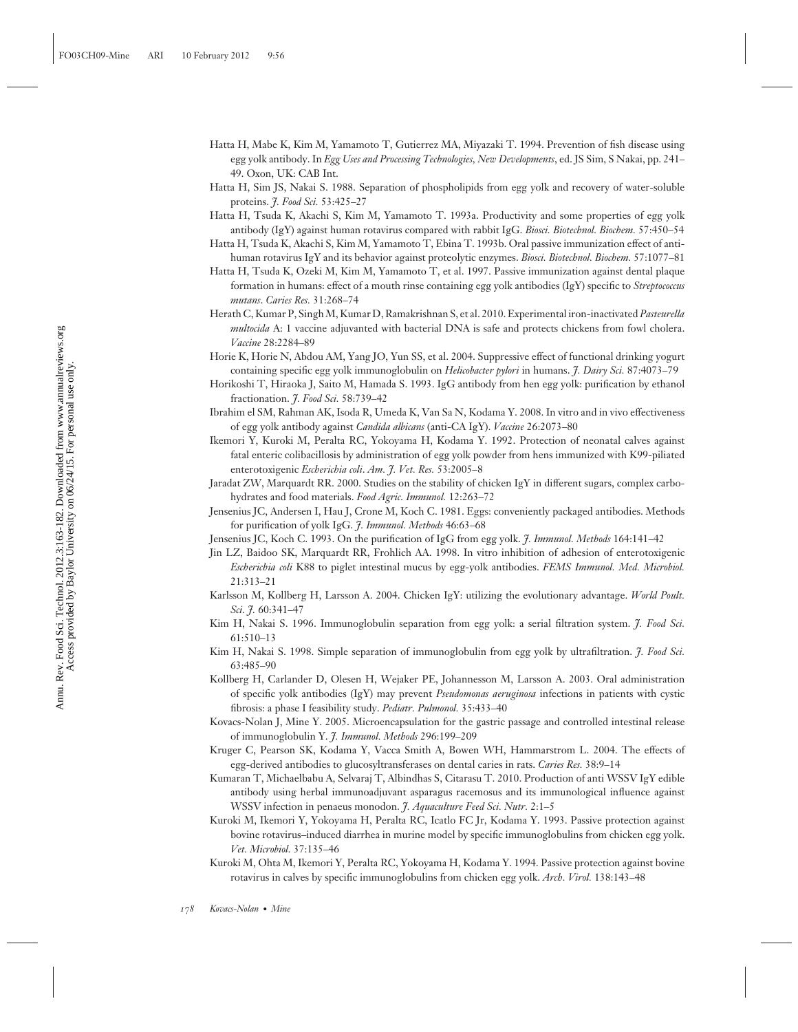- Hatta H, Mabe K, Kim M, Yamamoto T, Gutierrez MA, Miyazaki T. 1994. Prevention of fish disease using egg yolk antibody. In *Egg Uses and Processing Technologies, New Developments*, ed. JS Sim, S Nakai, pp. 241– 49. Oxon, UK: CAB Int.
- Hatta H, Sim JS, Nakai S. 1988. Separation of phospholipids from egg yolk and recovery of water-soluble proteins. *J. Food Sci.* 53:425–27
- Hatta H, Tsuda K, Akachi S, Kim M, Yamamoto T. 1993a. Productivity and some properties of egg yolk antibody (IgY) against human rotavirus compared with rabbit IgG. *Biosci. Biotechnol. Biochem.* 57:450–54
- Hatta H, Tsuda K, Akachi S, Kim M, Yamamoto T, Ebina T. 1993b. Oral passive immunization effect of antihuman rotavirus IgY and its behavior against proteolytic enzymes. *Biosci. Biotechnol. Biochem.* 57:1077–81
- Hatta H, Tsuda K, Ozeki M, Kim M, Yamamoto T, et al. 1997. Passive immunization against dental plaque formation in humans: effect of a mouth rinse containing egg yolk antibodies (IgY) specific to *Streptococcus mutans*. *Caries Res.* 31:268–74
- Herath C, Kumar P, Singh M, Kumar D, Ramakrishnan S, et al. 2010. Experimental iron-inactivated *Pasteurella multocida* A: 1 vaccine adjuvanted with bacterial DNA is safe and protects chickens from fowl cholera. *Vaccine* 28:2284–89
- Horie K, Horie N, Abdou AM, Yang JO, Yun SS, et al. 2004. Suppressive effect of functional drinking yogurt containing specific egg yolk immunoglobulin on *Helicobacter pylori* in humans. *J. Dairy Sci.* 87:4073–79
- Horikoshi T, Hiraoka J, Saito M, Hamada S. 1993. IgG antibody from hen egg yolk: purification by ethanol fractionation. *J. Food Sci.* 58:739–42
- Ibrahim el SM, Rahman AK, Isoda R, Umeda K, Van Sa N, Kodama Y. 2008. In vitro and in vivo effectiveness of egg yolk antibody against *Candida albicans* (anti-CA IgY). *Vaccine* 26:2073–80
- Ikemori Y, Kuroki M, Peralta RC, Yokoyama H, Kodama Y. 1992. Protection of neonatal calves against fatal enteric colibacillosis by administration of egg yolk powder from hens immunized with K99-piliated enterotoxigenic *Escherichia coli*. *Am. J. Vet. Res.* 53:2005–8
- Jaradat ZW, Marquardt RR. 2000. Studies on the stability of chicken IgY in different sugars, complex carbohydrates and food materials. *Food Agric. Immunol.* 12:263–72
- Jensenius JC, Andersen I, Hau J, Crone M, Koch C. 1981. Eggs: conveniently packaged antibodies. Methods for purification of yolk IgG. *J. Immunol. Methods* 46:63–68
- Jensenius JC, Koch C. 1993. On the purification of IgG from egg yolk. *J. Immunol. Methods* 164:141–42
- Jin LZ, Baidoo SK, Marquardt RR, Frohlich AA. 1998. In vitro inhibition of adhesion of enterotoxigenic *Escherichia coli* K88 to piglet intestinal mucus by egg-yolk antibodies. *FEMS Immunol. Med. Microbiol.* 21:313–21
- Karlsson M, Kollberg H, Larsson A. 2004. Chicken IgY: utilizing the evolutionary advantage. *World Poult. Sci. J.* 60:341–47
- Kim H, Nakai S. 1996. Immunoglobulin separation from egg yolk: a serial filtration system. *J. Food Sci.* 61:510–13
- Kim H, Nakai S. 1998. Simple separation of immunoglobulin from egg yolk by ultrafiltration. *J. Food Sci.* 63:485–90
- Kollberg H, Carlander D, Olesen H, Wejaker PE, Johannesson M, Larsson A. 2003. Oral administration of specific yolk antibodies (IgY) may prevent *Pseudomonas aeruginosa* infections in patients with cystic fibrosis: a phase I feasibility study. *Pediatr. Pulmonol.* 35:433–40
- Kovacs-Nolan J, Mine Y. 2005. Microencapsulation for the gastric passage and controlled intestinal release of immunoglobulin Y. *J. Immunol. Methods* 296:199–209
- Kruger C, Pearson SK, Kodama Y, Vacca Smith A, Bowen WH, Hammarstrom L. 2004. The effects of egg-derived antibodies to glucosyltransferases on dental caries in rats. *Caries Res.* 38:9–14
- Kumaran T, Michaelbabu A, Selvaraj T, Albindhas S, Citarasu T. 2010. Production of anti WSSV IgY edible antibody using herbal immunoadjuvant asparagus racemosus and its immunological influence against WSSV infection in penaeus monodon. *J. Aquaculture Feed Sci. Nutr.* 2:1–5
- Kuroki M, Ikemori Y, Yokoyama H, Peralta RC, Icatlo FC Jr, Kodama Y. 1993. Passive protection against bovine rotavirus–induced diarrhea in murine model by specific immunoglobulins from chicken egg yolk. *Vet. Microbiol.* 37:135–46
- Kuroki M, Ohta M, Ikemori Y, Peralta RC, Yokoyama H, Kodama Y. 1994. Passive protection against bovine rotavirus in calves by specific immunoglobulins from chicken egg yolk. *Arch. Virol.* 138:143–48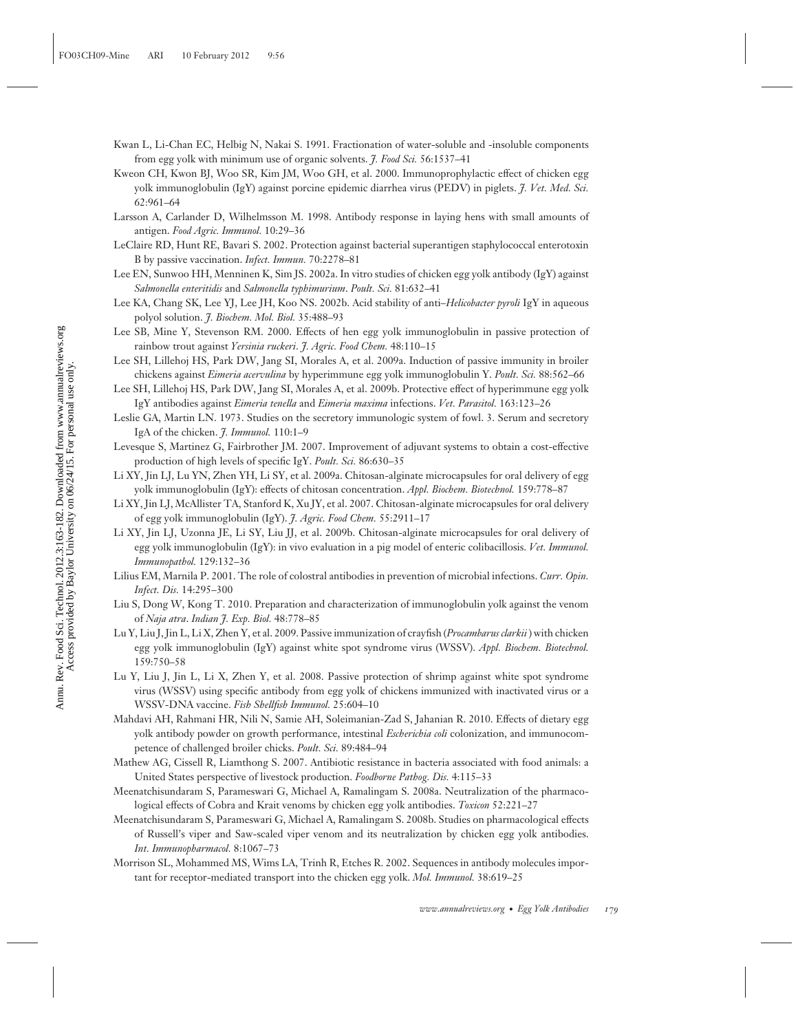- Kwan L, Li-Chan EC, Helbig N, Nakai S. 1991. Fractionation of water-soluble and -insoluble components from egg yolk with minimum use of organic solvents. *J. Food Sci.* 56:1537–41
- Kweon CH, Kwon BJ, Woo SR, Kim JM, Woo GH, et al. 2000. Immunoprophylactic effect of chicken egg yolk immunoglobulin (IgY) against porcine epidemic diarrhea virus (PEDV) in piglets. *J. Vet. Med. Sci.* 62:961–64
- Larsson A, Carlander D, Wilhelmsson M. 1998. Antibody response in laying hens with small amounts of antigen. *Food Agric. Immunol.* 10:29–36
- LeClaire RD, Hunt RE, Bavari S. 2002. Protection against bacterial superantigen staphylococcal enterotoxin B by passive vaccination. *Infect. Immun.* 70:2278–81
- Lee EN, Sunwoo HH, Menninen K, Sim JS. 2002a. In vitro studies of chicken egg yolk antibody (IgY) against *Salmonella enteritidis* and *Salmonella typhimurium*. *Poult. Sci.* 81:632–41
- Lee KA, Chang SK, Lee YJ, Lee JH, Koo NS. 2002b. Acid stability of anti–*Helicobacter pyroli* IgY in aqueous polyol solution. *J. Biochem. Mol. Biol.* 35:488–93
- Lee SB, Mine Y, Stevenson RM. 2000. Effects of hen egg yolk immunoglobulin in passive protection of rainbow trout against *Yersinia ruckeri*. *J. Agric. Food Chem.* 48:110–15
- Lee SH, Lillehoj HS, Park DW, Jang SI, Morales A, et al. 2009a. Induction of passive immunity in broiler chickens against *Eimeria acervulina* by hyperimmune egg yolk immunoglobulin Y. *Poult. Sci.* 88:562–66
- Lee SH, Lillehoj HS, Park DW, Jang SI, Morales A, et al. 2009b. Protective effect of hyperimmune egg yolk IgY antibodies against *Eimeria tenella* and *Eimeria maxima* infections. *Vet. Parasitol.* 163:123–26
- Leslie GA, Martin LN. 1973. Studies on the secretory immunologic system of fowl. 3. Serum and secretory IgA of the chicken. *J. Immunol.* 110:1–9
- Levesque S, Martinez G, Fairbrother JM. 2007. Improvement of adjuvant systems to obtain a cost-effective production of high levels of specific IgY. *Poult. Sci.* 86:630–35
- Li XY, Jin LJ, Lu YN, Zhen YH, Li SY, et al. 2009a. Chitosan-alginate microcapsules for oral delivery of egg yolk immunoglobulin (IgY): effects of chitosan concentration. *Appl. Biochem. Biotechnol.* 159:778–87
- Li XY, Jin LJ, McAllister TA, Stanford K, Xu JY, et al. 2007. Chitosan-alginate microcapsules for oral delivery of egg yolk immunoglobulin (IgY). *J. Agric. Food Chem.* 55:2911–17
- Li XY, Jin LJ, Uzonna JE, Li SY, Liu JJ, et al. 2009b. Chitosan-alginate microcapsules for oral delivery of egg yolk immunoglobulin (IgY): in vivo evaluation in a pig model of enteric colibacillosis. *Vet. Immunol. Immunopathol.* 129:132–36
- Lilius EM, Marnila P. 2001. The role of colostral antibodies in prevention of microbial infections. *Curr. Opin. Infect. Dis.* 14:295–300
- Liu S, Dong W, Kong T. 2010. Preparation and characterization of immunoglobulin yolk against the venom of *Naja atra*. *Indian J. Exp. Biol.* 48:778–85
- Lu Y, Liu J, Jin L, Li X, Zhen Y, et al. 2009. Passive immunization of crayfish (*Procambarus clarkii* ) with chicken egg yolk immunoglobulin (IgY) against white spot syndrome virus (WSSV). *Appl. Biochem. Biotechnol.* 159:750–58
- Lu Y, Liu J, Jin L, Li X, Zhen Y, et al. 2008. Passive protection of shrimp against white spot syndrome virus (WSSV) using specific antibody from egg yolk of chickens immunized with inactivated virus or a WSSV-DNA vaccine. *Fish Shellfish Immunol.* 25:604–10
- Mahdavi AH, Rahmani HR, Nili N, Samie AH, Soleimanian-Zad S, Jahanian R. 2010. Effects of dietary egg yolk antibody powder on growth performance, intestinal *Escherichia coli* colonization, and immunocompetence of challenged broiler chicks. *Poult. Sci.* 89:484–94
- Mathew AG, Cissell R, Liamthong S. 2007. Antibiotic resistance in bacteria associated with food animals: a United States perspective of livestock production. *Foodborne Pathog. Dis.* 4:115–33
- Meenatchisundaram S, Parameswari G, Michael A, Ramalingam S. 2008a. Neutralization of the pharmacological effects of Cobra and Krait venoms by chicken egg yolk antibodies. *Toxicon* 52:221–27
- Meenatchisundaram S, Parameswari G, Michael A, Ramalingam S. 2008b. Studies on pharmacological effects of Russell's viper and Saw-scaled viper venom and its neutralization by chicken egg yolk antibodies. *Int. Immunopharmacol.* 8:1067–73
- Morrison SL, Mohammed MS, Wims LA, Trinh R, Etches R. 2002. Sequences in antibody molecules important for receptor-mediated transport into the chicken egg yolk. *Mol. Immunol.* 38:619–25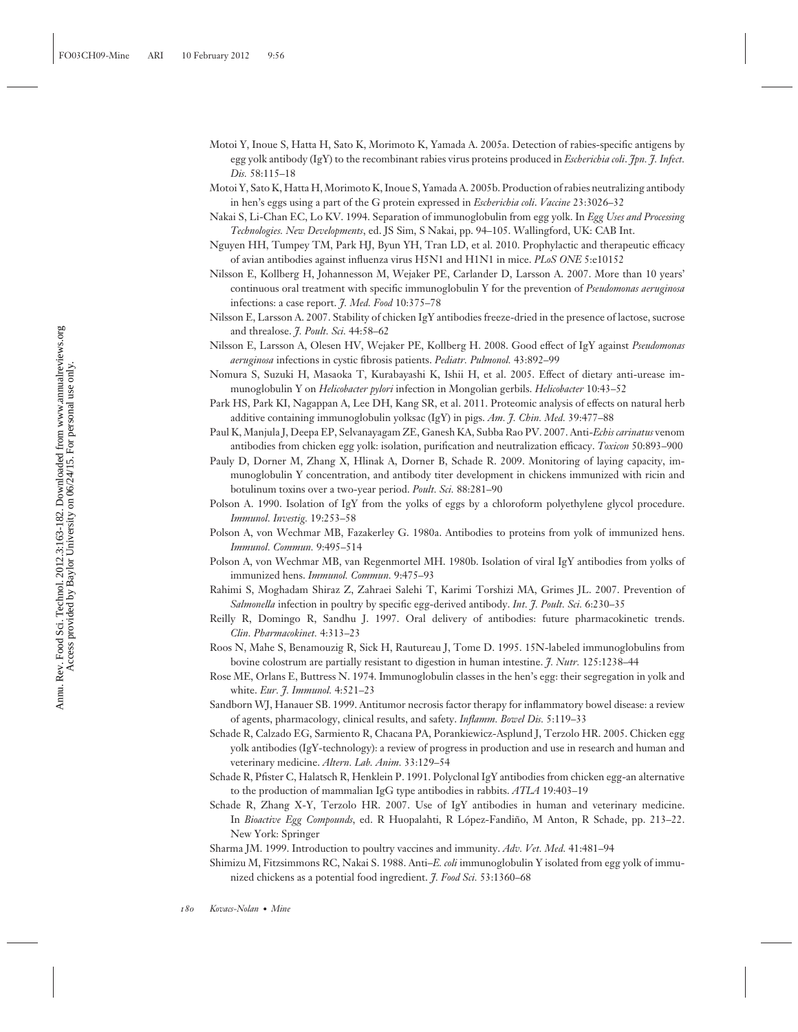- Motoi Y, Inoue S, Hatta H, Sato K, Morimoto K, Yamada A. 2005a. Detection of rabies-specific antigens by egg yolk antibody (IgY) to the recombinant rabies virus proteins produced in *Escherichia coli*. *Jpn. J. Infect. Dis.* 58:115–18
- Motoi Y, Sato K, Hatta H, Morimoto K, Inoue S, Yamada A. 2005b. Production of rabies neutralizing antibody in hen's eggs using a part of the G protein expressed in *Escherichia coli*. *Vaccine* 23:3026–32
- Nakai S, Li-Chan EC, Lo KV. 1994. Separation of immunoglobulin from egg yolk. In *Egg Uses and Processing Technologies. New Developments*, ed. JS Sim, S Nakai, pp. 94–105. Wallingford, UK: CAB Int.
- Nguyen HH, Tumpey TM, Park HJ, Byun YH, Tran LD, et al. 2010. Prophylactic and therapeutic efficacy of avian antibodies against influenza virus H5N1 and H1N1 in mice. *PLoS ONE* 5:e10152
- Nilsson E, Kollberg H, Johannesson M, Wejaker PE, Carlander D, Larsson A. 2007. More than 10 years' continuous oral treatment with specific immunoglobulin Y for the prevention of *Pseudomonas aeruginosa* infections: a case report. *J. Med. Food* 10:375–78
- Nilsson E, Larsson A. 2007. Stability of chicken IgY antibodies freeze-dried in the presence of lactose, sucrose and threalose. *J. Poult. Sci.* 44:58–62
- Nilsson E, Larsson A, Olesen HV, Wejaker PE, Kollberg H. 2008. Good effect of IgY against *Pseudomonas aeruginosa* infections in cystic fibrosis patients. *Pediatr. Pulmonol.* 43:892–99
- Nomura S, Suzuki H, Masaoka T, Kurabayashi K, Ishii H, et al. 2005. Effect of dietary anti-urease immunoglobulin Y on *Helicobacter pylori* infection in Mongolian gerbils. *Helicobacter* 10:43–52
- Park HS, Park KI, Nagappan A, Lee DH, Kang SR, et al. 2011. Proteomic analysis of effects on natural herb additive containing immunoglobulin yolksac (IgY) in pigs. *Am. J. Chin. Med.* 39:477–88
- Paul K, Manjula J, Deepa EP, Selvanayagam ZE, Ganesh KA, Subba Rao PV. 2007. Anti-*Echis carinatus* venom antibodies from chicken egg yolk: isolation, purification and neutralization efficacy. *Toxicon* 50:893–900
- Pauly D, Dorner M, Zhang X, Hlinak A, Dorner B, Schade R. 2009. Monitoring of laying capacity, immunoglobulin Y concentration, and antibody titer development in chickens immunized with ricin and botulinum toxins over a two-year period. *Poult. Sci.* 88:281–90
- Polson A. 1990. Isolation of IgY from the yolks of eggs by a chloroform polyethylene glycol procedure. *Immunol. Investig.* 19:253–58
- Polson A, von Wechmar MB, Fazakerley G. 1980a. Antibodies to proteins from yolk of immunized hens. *Immunol. Commun.* 9:495–514
- Polson A, von Wechmar MB, van Regenmortel MH. 1980b. Isolation of viral IgY antibodies from yolks of immunized hens. *Immunol. Commun.* 9:475–93
- Rahimi S, Moghadam Shiraz Z, Zahraei Salehi T, Karimi Torshizi MA, Grimes JL. 2007. Prevention of *Salmonella* infection in poultry by specific egg-derived antibody. *Int. J. Poult. Sci.* 6:230–35
- Reilly R, Domingo R, Sandhu J. 1997. Oral delivery of antibodies: future pharmacokinetic trends. *Clin. Pharmacokinet.* 4:313–23
- Roos N, Mahe S, Benamouzig R, Sick H, Rautureau J, Tome D. 1995. 15N-labeled immunoglobulins from bovine colostrum are partially resistant to digestion in human intestine. *J. Nutr.* 125:1238–44
- Rose ME, Orlans E, Buttress N. 1974. Immunoglobulin classes in the hen's egg: their segregation in yolk and white. *Eur. J. Immunol.* 4:521–23
- Sandborn WJ, Hanauer SB. 1999. Antitumor necrosis factor therapy for inflammatory bowel disease: a review of agents, pharmacology, clinical results, and safety. *Inflamm. Bowel Dis.* 5:119–33
- Schade R, Calzado EG, Sarmiento R, Chacana PA, Porankiewicz-Asplund J, Terzolo HR. 2005. Chicken egg yolk antibodies (IgY-technology): a review of progress in production and use in research and human and veterinary medicine. *Altern. Lab. Anim.* 33:129–54
- Schade R, Pfister C, Halatsch R, Henklein P. 1991. Polyclonal IgY antibodies from chicken egg-an alternative to the production of mammalian IgG type antibodies in rabbits. *ATLA* 19:403–19
- Schade R, Zhang X-Y, Terzolo HR. 2007. Use of IgY antibodies in human and veterinary medicine. In *Bioactive Egg Compounds*, ed. R Huopalahti, R López-Fandiño, M Anton, R Schade, pp. 213–22. New York: Springer
- Sharma JM. 1999. Introduction to poultry vaccines and immunity. *Adv. Vet. Med.* 41:481–94
- Shimizu M, Fitzsimmons RC, Nakai S. 1988. Anti–*E. coli* immunoglobulin Y isolated from egg yolk of immunized chickens as a potential food ingredient. *J. Food Sci.* 53:1360–68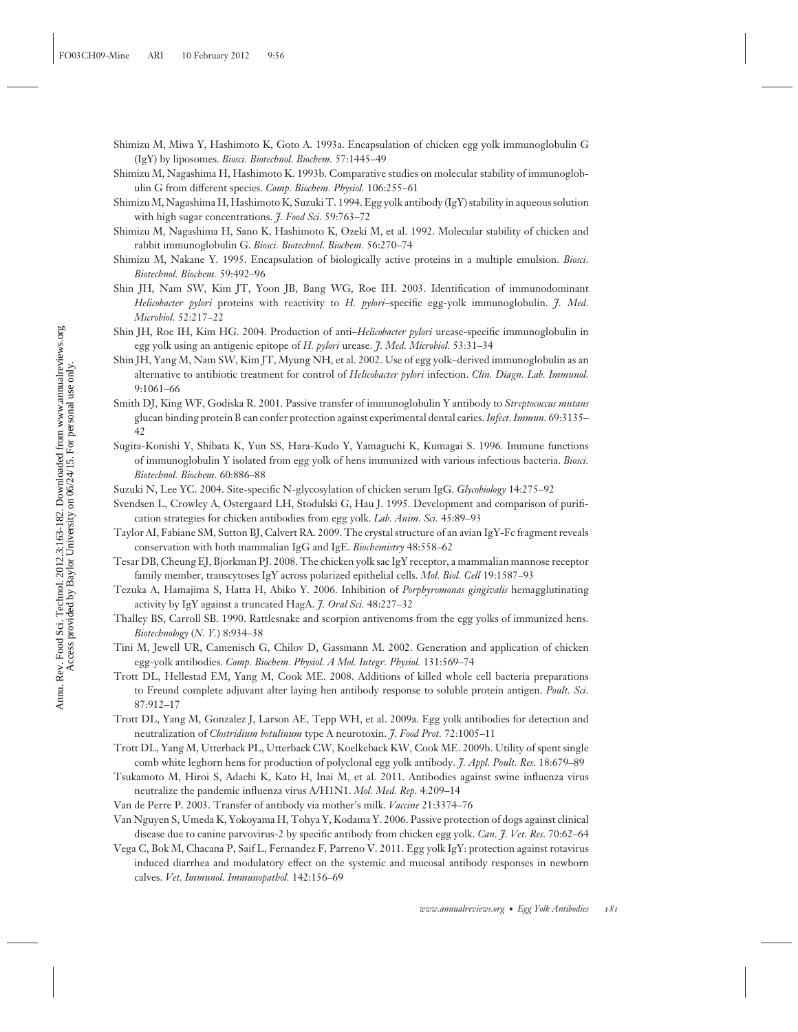- Shimizu M, Miwa Y, Hashimoto K, Goto A. 1993a. Encapsulation of chicken egg yolk immunoglobulin G (IgY) by liposomes. *Biosci. Biotechnol. Biochem.* 57:1445–49
- Shimizu M, Nagashima H, Hashimoto K. 1993b. Comparative studies on molecular stability of immunoglobulin G from different species. *Comp. Biochem. Physiol.* 106:255–61
- Shimizu M, Nagashima H, Hashimoto K, Suzuki T. 1994. Egg yolk antibody (IgY) stability in aqueous solution with high sugar concentrations. *J. Food Sci.* 59:763–72
- Shimizu M, Nagashima H, Sano K, Hashimoto K, Ozeki M, et al. 1992. Molecular stability of chicken and rabbit immunoglobulin G. *Biosci. Biotechnol. Biochem.* 56:270–74
- Shimizu M, Nakane Y. 1995. Encapsulation of biologically active proteins in a multiple emulsion. *Biosci. Biotechnol. Biochem.* 59:492–96
- Shin JH, Nam SW, Kim JT, Yoon JB, Bang WG, Roe IH. 2003. Identification of immunodominant *Helicobacter pylori* proteins with reactivity to *H. pylori*–specific egg-yolk immunoglobulin. *J. Med. Microbiol.* 52:217–22
- Shin JH, Roe IH, Kim HG. 2004. Production of anti–*Helicobacter pylori* urease-specific immunoglobulin in egg yolk using an antigenic epitope of *H. pylori* urease. *J. Med. Microbiol.* 53:31–34
- Shin JH, Yang M, Nam SW, Kim JT, Myung NH, et al. 2002. Use of egg yolk–derived immunoglobulin as an alternative to antibiotic treatment for control of *Helicobacter pylori* infection. *Clin. Diagn. Lab. Immunol.* 9:1061–66
- Smith DJ, King WF, Godiska R. 2001. Passive transfer of immunoglobulin Y antibody to *Streptococcus mutans* glucan binding protein B can confer protection against experimental dental caries.*Infect. Immun.* 69:3135– 42
- Sugita-Konishi Y, Shibata K, Yun SS, Hara-Kudo Y, Yamaguchi K, Kumagai S. 1996. Immune functions of immunoglobulin Y isolated from egg yolk of hens immunized with various infectious bacteria. *Biosci. Biotechnol. Biochem.* 60:886–88
- Suzuki N, Lee YC. 2004. Site-specific N-glycosylation of chicken serum IgG. *Glycobiology* 14:275–92
- Svendsen L, Crowley A, Ostergaard LH, Stodulski G, Hau J. 1995. Development and comparison of purification strategies for chicken antibodies from egg yolk. *Lab. Anim. Sci.* 45:89–93
- Taylor AI, Fabiane SM, Sutton BJ, Calvert RA. 2009. The crystal structure of an avian IgY-Fc fragment reveals conservation with both mammalian IgG and IgE. *Biochemistry* 48:558–62
- Tesar DB, Cheung EJ, Bjorkman PJ. 2008. The chicken yolk sac IgY receptor, a mammalian mannose receptor family member, transcytoses IgY across polarized epithelial cells. *Mol. Biol. Cell* 19:1587–93
- Tezuka A, Hamajima S, Hatta H, Abiko Y. 2006. Inhibition of *Porphyromonas gingivalis* hemagglutinating activity by IgY against a truncated HagA. *J. Oral Sci.* 48:227–32
- Thalley BS, Carroll SB. 1990. Rattlesnake and scorpion antivenoms from the egg yolks of immunized hens. *Biotechnology* (*N. Y.*) 8:934–38
- Tini M, Jewell UR, Camenisch G, Chilov D, Gassmann M. 2002. Generation and application of chicken egg-yolk antibodies. *Comp. Biochem. Physiol. A Mol. Integr. Physiol.* 131:569–74
- Trott DL, Hellestad EM, Yang M, Cook ME. 2008. Additions of killed whole cell bacteria preparations to Freund complete adjuvant alter laying hen antibody response to soluble protein antigen. *Poult. Sci.* 87:912–17
- Trott DL, Yang M, Gonzalez J, Larson AE, Tepp WH, et al. 2009a. Egg yolk antibodies for detection and neutralization of *Clostridium botulinum* type A neurotoxin. *J. Food Prot.* 72:1005–11
- Trott DL, Yang M, Utterback PL, Utterback CW, Koelkeback KW, Cook ME. 2009b. Utility of spent single comb white leghorn hens for production of polyclonal egg yolk antibody. *J. Appl. Poult. Res.* 18:679–89
- Tsukamoto M, Hiroi S, Adachi K, Kato H, Inai M, et al. 2011. Antibodies against swine influenza virus neutralize the pandemic influenza virus A/H1N1. *Mol. Med. Rep.* 4:209–14
- Van de Perre P. 2003. Transfer of antibody via mother's milk. *Vaccine* 21:3374–76
- Van Nguyen S, Umeda K, Yokoyama H, Tohya Y, Kodama Y. 2006. Passive protection of dogs against clinical disease due to canine parvovirus-2 by specific antibody from chicken egg yolk. *Can. J. Vet. Res.* 70:62–64
- Vega C, Bok M, Chacana P, Saif L, Fernandez F, Parreno V. 2011. Egg yolk IgY: protection against rotavirus induced diarrhea and modulatory effect on the systemic and mucosal antibody responses in newborn calves. *Vet. Immunol. Immunopathol.* 142:156–69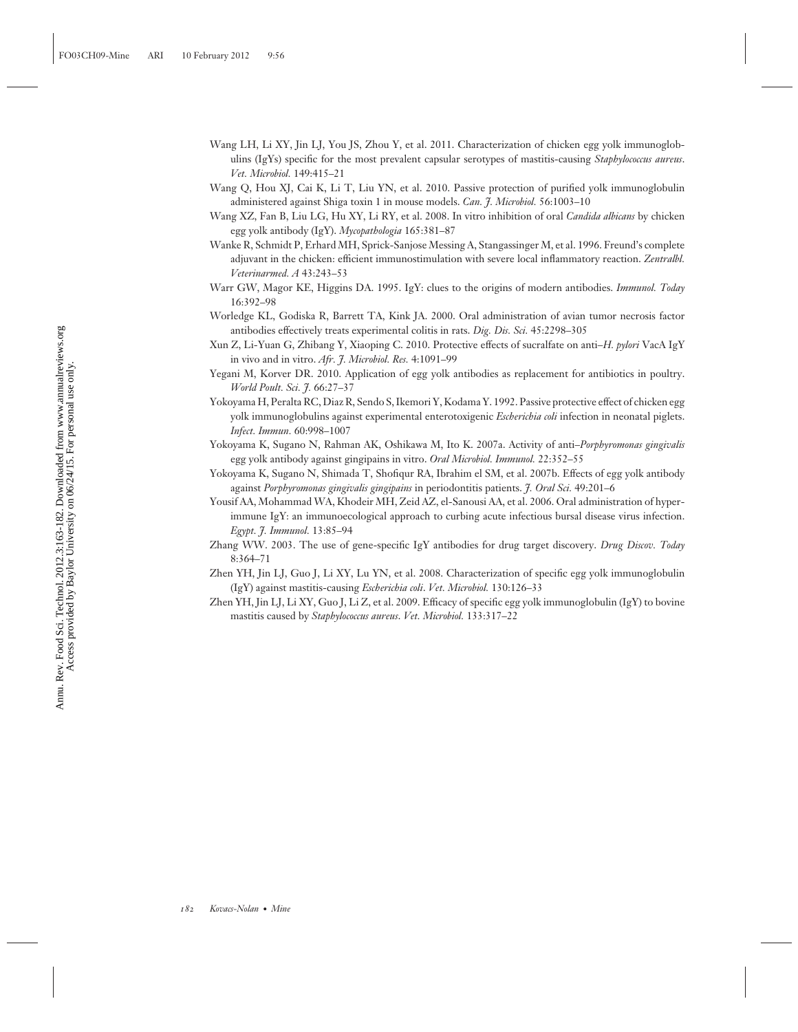- Wang LH, Li XY, Jin LJ, You JS, Zhou Y, et al. 2011. Characterization of chicken egg yolk immunoglobulins (IgYs) specific for the most prevalent capsular serotypes of mastitis-causing *Staphylococcus aureus*. *Vet. Microbiol.* 149:415–21
- Wang Q, Hou XJ, Cai K, Li T, Liu YN, et al. 2010. Passive protection of purified yolk immunoglobulin administered against Shiga toxin 1 in mouse models. *Can. J. Microbiol.* 56:1003–10
- Wang XZ, Fan B, Liu LG, Hu XY, Li RY, et al. 2008. In vitro inhibition of oral *Candida albicans* by chicken egg yolk antibody (IgY). *Mycopathologia* 165:381–87
- Wanke R, Schmidt P, Erhard MH, Sprick-Sanjose Messing A, Stangassinger M, et al. 1996. Freund's complete adjuvant in the chicken: efficient immunostimulation with severe local inflammatory reaction. *Zentralbl. Veterinarmed. A* 43:243–53
- Warr GW, Magor KE, Higgins DA. 1995. IgY: clues to the origins of modern antibodies. *Immunol. Today* 16:392–98
- Worledge KL, Godiska R, Barrett TA, Kink JA. 2000. Oral administration of avian tumor necrosis factor antibodies effectively treats experimental colitis in rats. *Dig. Dis. Sci.* 45:2298–305
- Xun Z, Li-Yuan G, Zhibang Y, Xiaoping C. 2010. Protective effects of sucralfate on anti–*H. pylori* VacA IgY in vivo and in vitro. *Afr. J. Microbiol. Res.* 4:1091–99
- Yegani M, Korver DR. 2010. Application of egg yolk antibodies as replacement for antibiotics in poultry. *World Poult. Sci. J.* 66:27–37
- Yokoyama H, Peralta RC, Diaz R, Sendo S, Ikemori Y, Kodama Y. 1992. Passive protective effect of chicken egg yolk immunoglobulins against experimental enterotoxigenic *Escherichia coli* infection in neonatal piglets. *Infect. Immun.* 60:998–1007
- Yokoyama K, Sugano N, Rahman AK, Oshikawa M, Ito K. 2007a. Activity of anti–*Porphyromonas gingivalis* egg yolk antibody against gingipains in vitro. *Oral Microbiol. Immunol.* 22:352–55
- Yokoyama K, Sugano N, Shimada T, Shofiqur RA, Ibrahim el SM, et al. 2007b. Effects of egg yolk antibody against *Porphyromonas gingivalis gingipains* in periodontitis patients. *J. Oral Sci.* 49:201–6
- Yousif AA, Mohammad WA, Khodeir MH, Zeid AZ, el-Sanousi AA, et al. 2006. Oral administration of hyperimmune IgY: an immunoecological approach to curbing acute infectious bursal disease virus infection. *Egypt. J. Immunol.* 13:85–94
- Zhang WW. 2003. The use of gene-specific IgY antibodies for drug target discovery. *Drug Discov. Today* 8:364–71
- Zhen YH, Jin LJ, Guo J, Li XY, Lu YN, et al. 2008. Characterization of specific egg yolk immunoglobulin (IgY) against mastitis-causing *Escherichia coli*. *Vet. Microbiol.* 130:126–33
- Zhen YH, Jin LJ, Li XY, Guo J, Li Z, et al. 2009. Efficacy of specific egg yolk immunoglobulin (IgY) to bovine mastitis caused by *Staphylococcus aureus*. *Vet. Microbiol.* 133:317–22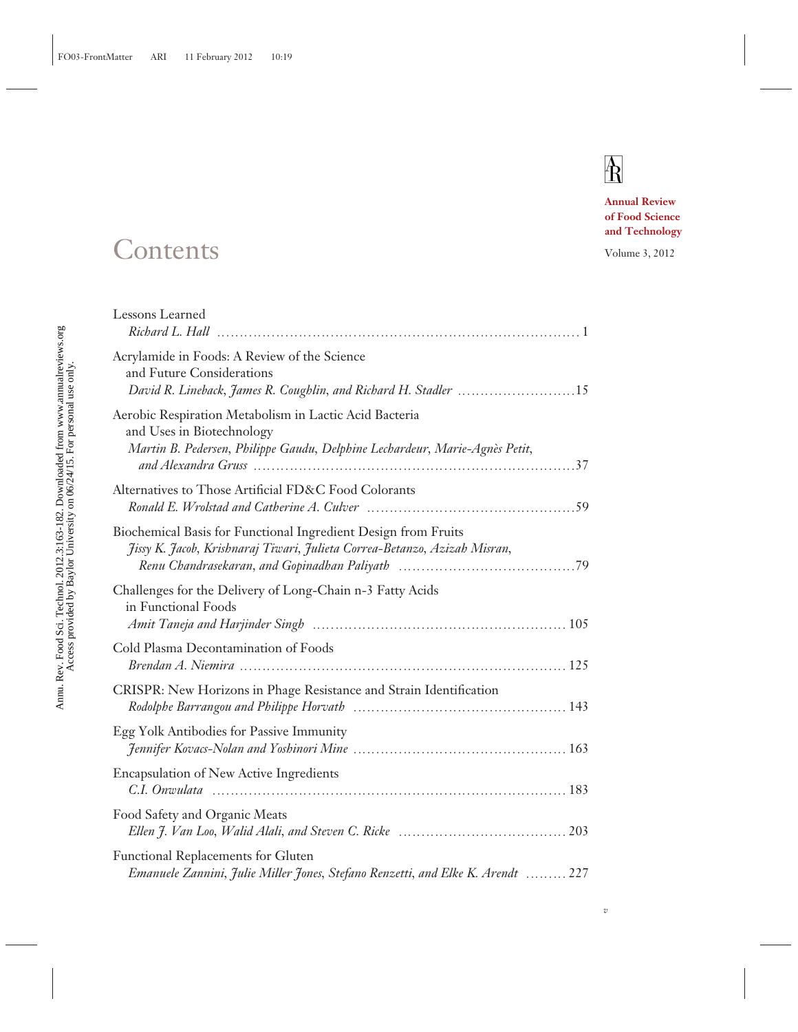## $\overline{\text{R}}$

*v*

**Annual Review of Food Science and Technology**

### Contents Volume 3, 2012

| Lessons Learned                                                                                                                                                    |
|--------------------------------------------------------------------------------------------------------------------------------------------------------------------|
| Acrylamide in Foods: A Review of the Science<br>and Future Considerations<br>David R. Lineback, James R. Coughlin, and Richard H. Stadler 15                       |
| Aerobic Respiration Metabolism in Lactic Acid Bacteria<br>and Uses in Biotechnology<br>Martin B. Pedersen, Philippe Gaudu, Delphine Lechardeur, Marie-Agnès Petit, |
| Alternatives to Those Artificial FD&C Food Colorants                                                                                                               |
| Biochemical Basis for Functional Ingredient Design from Fruits<br>Jissy K. Jacob, Krishnaraj Tiwari, Julieta Correa-Betanzo, Azizah Misran,                        |
| Challenges for the Delivery of Long-Chain n-3 Fatty Acids<br>in Functional Foods                                                                                   |
| Cold Plasma Decontamination of Foods                                                                                                                               |
| CRISPR: New Horizons in Phage Resistance and Strain Identification                                                                                                 |
| Egg Yolk Antibodies for Passive Immunity                                                                                                                           |
| <b>Encapsulation of New Active Ingredients</b>                                                                                                                     |
| Food Safety and Organic Meats                                                                                                                                      |
| Functional Replacements for Gluten<br>Emanuele Zannini, Julie Miller Jones, Stefano Renzetti, and Elke K. Arendt  227                                              |